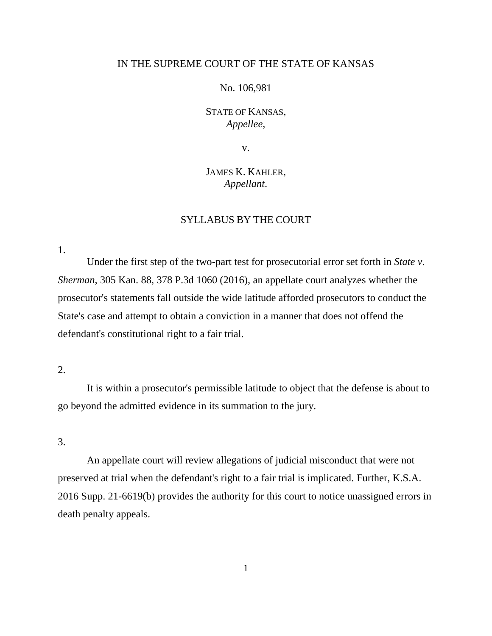## IN THE SUPREME COURT OF THE STATE OF KANSAS

## No. 106,981

# STATE OF KANSAS, *Appellee*,

v.

# JAMES K. KAHLER, *Appellant*.

## SYLLABUS BY THE COURT

1.

Under the first step of the two-part test for prosecutorial error set forth in *State v. Sherman*, 305 Kan. 88, 378 P.3d 1060 (2016), an appellate court analyzes whether the prosecutor's statements fall outside the wide latitude afforded prosecutors to conduct the State's case and attempt to obtain a conviction in a manner that does not offend the defendant's constitutional right to a fair trial.

## 2.

It is within a prosecutor's permissible latitude to object that the defense is about to go beyond the admitted evidence in its summation to the jury.

## 3.

An appellate court will review allegations of judicial misconduct that were not preserved at trial when the defendant's right to a fair trial is implicated. Further, K.S.A. 2016 Supp. 21-6619(b) provides the authority for this court to notice unassigned errors in death penalty appeals.

1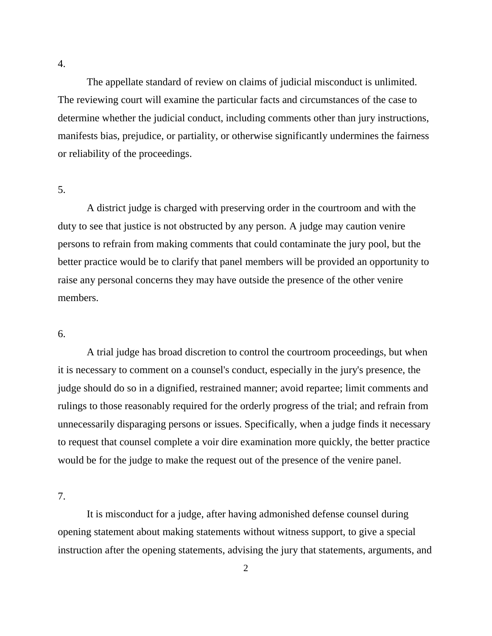The appellate standard of review on claims of judicial misconduct is unlimited. The reviewing court will examine the particular facts and circumstances of the case to determine whether the judicial conduct, including comments other than jury instructions, manifests bias, prejudice, or partiality, or otherwise significantly undermines the fairness or reliability of the proceedings.

5.

A district judge is charged with preserving order in the courtroom and with the duty to see that justice is not obstructed by any person. A judge may caution venire persons to refrain from making comments that could contaminate the jury pool, but the better practice would be to clarify that panel members will be provided an opportunity to raise any personal concerns they may have outside the presence of the other venire members.

## 6.

A trial judge has broad discretion to control the courtroom proceedings, but when it is necessary to comment on a counsel's conduct, especially in the jury's presence, the judge should do so in a dignified, restrained manner; avoid repartee; limit comments and rulings to those reasonably required for the orderly progress of the trial; and refrain from unnecessarily disparaging persons or issues. Specifically, when a judge finds it necessary to request that counsel complete a voir dire examination more quickly, the better practice would be for the judge to make the request out of the presence of the venire panel.

7.

It is misconduct for a judge, after having admonished defense counsel during opening statement about making statements without witness support, to give a special instruction after the opening statements, advising the jury that statements, arguments, and

4.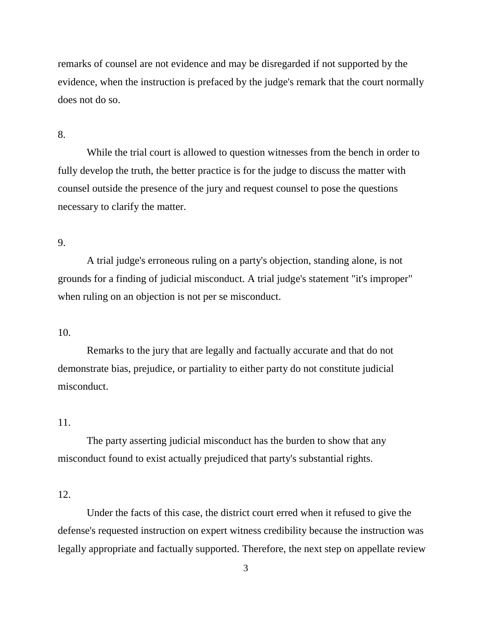remarks of counsel are not evidence and may be disregarded if not supported by the evidence, when the instruction is prefaced by the judge's remark that the court normally does not do so.

## 8.

While the trial court is allowed to question witnesses from the bench in order to fully develop the truth, the better practice is for the judge to discuss the matter with counsel outside the presence of the jury and request counsel to pose the questions necessary to clarify the matter.

#### 9.

A trial judge's erroneous ruling on a party's objection, standing alone, is not grounds for a finding of judicial misconduct. A trial judge's statement "it's improper" when ruling on an objection is not per se misconduct.

## 10.

Remarks to the jury that are legally and factually accurate and that do not demonstrate bias, prejudice, or partiality to either party do not constitute judicial misconduct.

## 11.

The party asserting judicial misconduct has the burden to show that any misconduct found to exist actually prejudiced that party's substantial rights.

## 12.

Under the facts of this case, the district court erred when it refused to give the defense's requested instruction on expert witness credibility because the instruction was legally appropriate and factually supported. Therefore, the next step on appellate review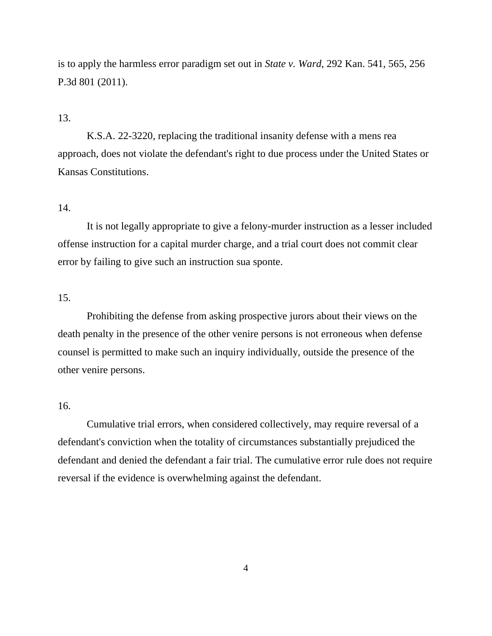is to apply the harmless error paradigm set out in *State v. Ward*, 292 Kan. 541, 565, 256 P.3d 801 (2011).

## 13.

K.S.A. 22-3220, replacing the traditional insanity defense with a mens rea approach, does not violate the defendant's right to due process under the United States or Kansas Constitutions.

## 14.

It is not legally appropriate to give a felony-murder instruction as a lesser included offense instruction for a capital murder charge, and a trial court does not commit clear error by failing to give such an instruction sua sponte.

### 15.

Prohibiting the defense from asking prospective jurors about their views on the death penalty in the presence of the other venire persons is not erroneous when defense counsel is permitted to make such an inquiry individually, outside the presence of the other venire persons.

#### 16.

Cumulative trial errors, when considered collectively, may require reversal of a defendant's conviction when the totality of circumstances substantially prejudiced the defendant and denied the defendant a fair trial. The cumulative error rule does not require reversal if the evidence is overwhelming against the defendant.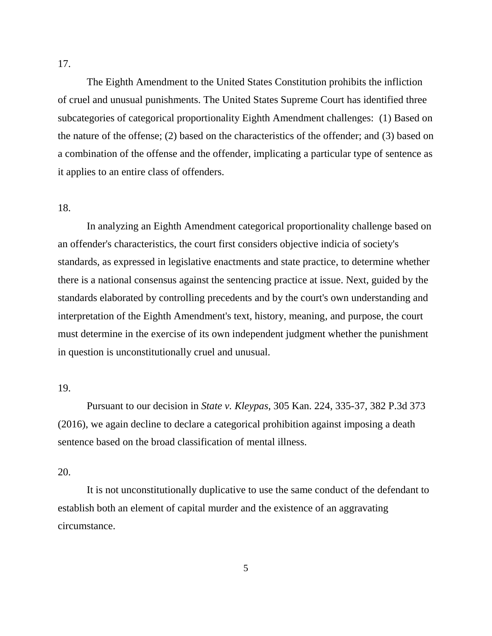The Eighth Amendment to the United States Constitution prohibits the infliction of cruel and unusual punishments. The United States Supreme Court has identified three subcategories of categorical proportionality Eighth Amendment challenges: (1) Based on the nature of the offense; (2) based on the characteristics of the offender; and (3) based on a combination of the offense and the offender, implicating a particular type of sentence as it applies to an entire class of offenders.

## 18.

In analyzing an Eighth Amendment categorical proportionality challenge based on an offender's characteristics, the court first considers objective indicia of society's standards, as expressed in legislative enactments and state practice, to determine whether there is a national consensus against the sentencing practice at issue. Next, guided by the standards elaborated by controlling precedents and by the court's own understanding and interpretation of the Eighth Amendment's text, history, meaning, and purpose, the court must determine in the exercise of its own independent judgment whether the punishment in question is unconstitutionally cruel and unusual.

### 19.

Pursuant to our decision in *State v. Kleypas*, 305 Kan. 224, 335-37, 382 P.3d 373 (2016), we again decline to declare a categorical prohibition against imposing a death sentence based on the broad classification of mental illness.

#### 20.

It is not unconstitutionally duplicative to use the same conduct of the defendant to establish both an element of capital murder and the existence of an aggravating circumstance.

5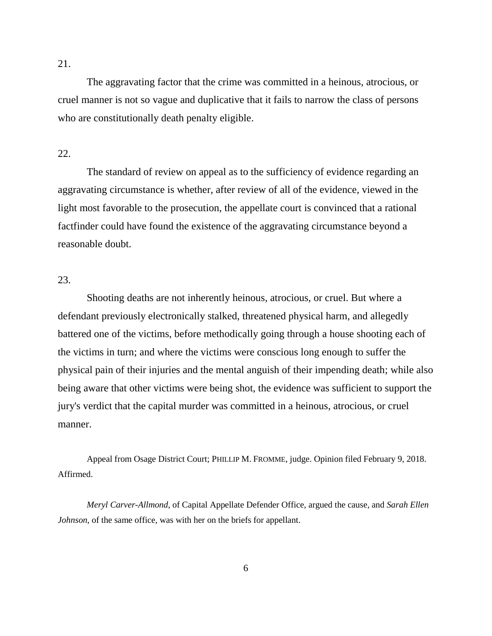21.

The aggravating factor that the crime was committed in a heinous, atrocious, or cruel manner is not so vague and duplicative that it fails to narrow the class of persons who are constitutionally death penalty eligible.

#### 22.

The standard of review on appeal as to the sufficiency of evidence regarding an aggravating circumstance is whether, after review of all of the evidence, viewed in the light most favorable to the prosecution, the appellate court is convinced that a rational factfinder could have found the existence of the aggravating circumstance beyond a reasonable doubt.

## 23.

Shooting deaths are not inherently heinous, atrocious, or cruel. But where a defendant previously electronically stalked, threatened physical harm, and allegedly battered one of the victims, before methodically going through a house shooting each of the victims in turn; and where the victims were conscious long enough to suffer the physical pain of their injuries and the mental anguish of their impending death; while also being aware that other victims were being shot, the evidence was sufficient to support the jury's verdict that the capital murder was committed in a heinous, atrocious, or cruel manner.

Appeal from Osage District Court; PHILLIP M. FROMME, judge. Opinion filed February 9, 2018. Affirmed.

*Meryl Carver-Allmond*, of Capital Appellate Defender Office, argued the cause, and *Sarah Ellen Johnson*, of the same office, was with her on the briefs for appellant.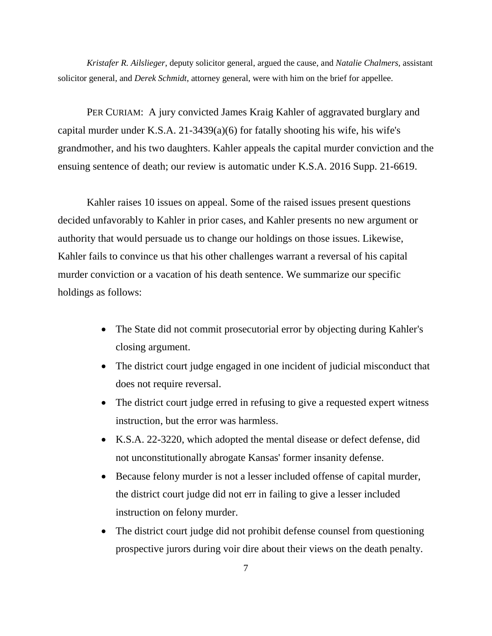*Kristafer R. Ailslieger*, deputy solicitor general, argued the cause, and *Natalie Chalmers,* assistant solicitor general, and *Derek Schmidt*, attorney general, were with him on the brief for appellee.

PER CURIAM: A jury convicted James Kraig Kahler of aggravated burglary and capital murder under K.S.A. 21-3439(a)(6) for fatally shooting his wife, his wife's grandmother, and his two daughters. Kahler appeals the capital murder conviction and the ensuing sentence of death; our review is automatic under K.S.A. 2016 Supp. 21-6619.

Kahler raises 10 issues on appeal. Some of the raised issues present questions decided unfavorably to Kahler in prior cases, and Kahler presents no new argument or authority that would persuade us to change our holdings on those issues. Likewise, Kahler fails to convince us that his other challenges warrant a reversal of his capital murder conviction or a vacation of his death sentence. We summarize our specific holdings as follows:

- The State did not commit prosecutorial error by objecting during Kahler's closing argument.
- The district court judge engaged in one incident of judicial misconduct that does not require reversal.
- The district court judge erred in refusing to give a requested expert witness instruction, but the error was harmless.
- K.S.A. 22-3220, which adopted the mental disease or defect defense, did not unconstitutionally abrogate Kansas' former insanity defense.
- Because felony murder is not a lesser included offense of capital murder, the district court judge did not err in failing to give a lesser included instruction on felony murder.
- The district court judge did not prohibit defense counsel from questioning prospective jurors during voir dire about their views on the death penalty.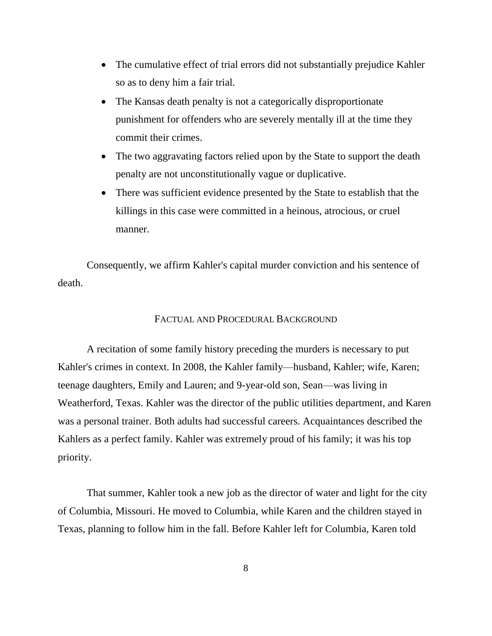- The cumulative effect of trial errors did not substantially prejudice Kahler so as to deny him a fair trial.
- The Kansas death penalty is not a categorically disproportionate punishment for offenders who are severely mentally ill at the time they commit their crimes.
- The two aggravating factors relied upon by the State to support the death penalty are not unconstitutionally vague or duplicative.
- There was sufficient evidence presented by the State to establish that the killings in this case were committed in a heinous, atrocious, or cruel manner.

Consequently, we affirm Kahler's capital murder conviction and his sentence of death.

### FACTUAL AND PROCEDURAL BACKGROUND

A recitation of some family history preceding the murders is necessary to put Kahler's crimes in context. In 2008, the Kahler family—husband, Kahler; wife, Karen; teenage daughters, Emily and Lauren; and 9-year-old son, Sean—was living in Weatherford, Texas. Kahler was the director of the public utilities department, and Karen was a personal trainer. Both adults had successful careers. Acquaintances described the Kahlers as a perfect family. Kahler was extremely proud of his family; it was his top priority.

That summer, Kahler took a new job as the director of water and light for the city of Columbia, Missouri. He moved to Columbia, while Karen and the children stayed in Texas, planning to follow him in the fall. Before Kahler left for Columbia, Karen told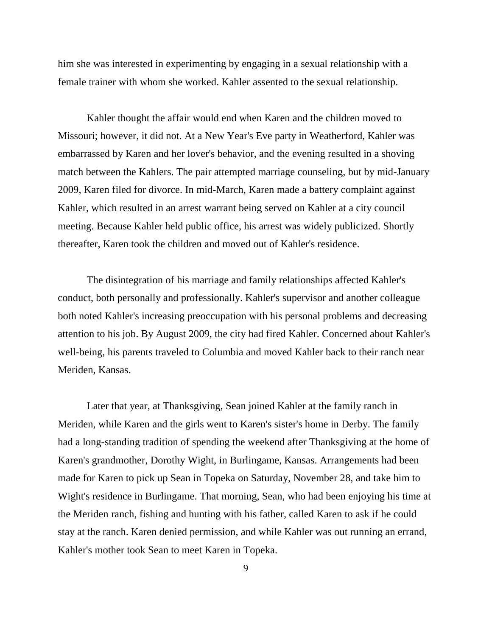him she was interested in experimenting by engaging in a sexual relationship with a female trainer with whom she worked. Kahler assented to the sexual relationship.

Kahler thought the affair would end when Karen and the children moved to Missouri; however, it did not. At a New Year's Eve party in Weatherford, Kahler was embarrassed by Karen and her lover's behavior, and the evening resulted in a shoving match between the Kahlers. The pair attempted marriage counseling, but by mid-January 2009, Karen filed for divorce. In mid-March, Karen made a battery complaint against Kahler, which resulted in an arrest warrant being served on Kahler at a city council meeting. Because Kahler held public office, his arrest was widely publicized. Shortly thereafter, Karen took the children and moved out of Kahler's residence.

The disintegration of his marriage and family relationships affected Kahler's conduct, both personally and professionally. Kahler's supervisor and another colleague both noted Kahler's increasing preoccupation with his personal problems and decreasing attention to his job. By August 2009, the city had fired Kahler. Concerned about Kahler's well-being, his parents traveled to Columbia and moved Kahler back to their ranch near Meriden, Kansas.

Later that year, at Thanksgiving, Sean joined Kahler at the family ranch in Meriden, while Karen and the girls went to Karen's sister's home in Derby. The family had a long-standing tradition of spending the weekend after Thanksgiving at the home of Karen's grandmother, Dorothy Wight, in Burlingame, Kansas. Arrangements had been made for Karen to pick up Sean in Topeka on Saturday, November 28, and take him to Wight's residence in Burlingame. That morning, Sean, who had been enjoying his time at the Meriden ranch, fishing and hunting with his father, called Karen to ask if he could stay at the ranch. Karen denied permission, and while Kahler was out running an errand, Kahler's mother took Sean to meet Karen in Topeka.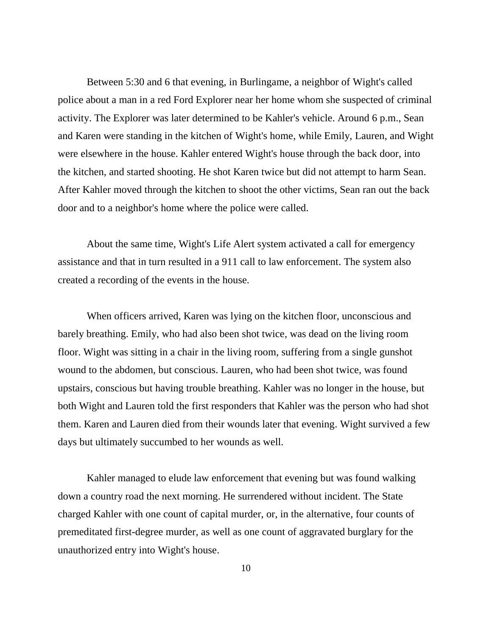Between 5:30 and 6 that evening, in Burlingame, a neighbor of Wight's called police about a man in a red Ford Explorer near her home whom she suspected of criminal activity. The Explorer was later determined to be Kahler's vehicle. Around 6 p.m., Sean and Karen were standing in the kitchen of Wight's home, while Emily, Lauren, and Wight were elsewhere in the house. Kahler entered Wight's house through the back door, into the kitchen, and started shooting. He shot Karen twice but did not attempt to harm Sean. After Kahler moved through the kitchen to shoot the other victims, Sean ran out the back door and to a neighbor's home where the police were called.

About the same time, Wight's Life Alert system activated a call for emergency assistance and that in turn resulted in a 911 call to law enforcement. The system also created a recording of the events in the house.

When officers arrived, Karen was lying on the kitchen floor, unconscious and barely breathing. Emily, who had also been shot twice, was dead on the living room floor. Wight was sitting in a chair in the living room, suffering from a single gunshot wound to the abdomen, but conscious. Lauren, who had been shot twice, was found upstairs, conscious but having trouble breathing. Kahler was no longer in the house, but both Wight and Lauren told the first responders that Kahler was the person who had shot them. Karen and Lauren died from their wounds later that evening. Wight survived a few days but ultimately succumbed to her wounds as well.

Kahler managed to elude law enforcement that evening but was found walking down a country road the next morning. He surrendered without incident. The State charged Kahler with one count of capital murder, or, in the alternative, four counts of premeditated first-degree murder, as well as one count of aggravated burglary for the unauthorized entry into Wight's house.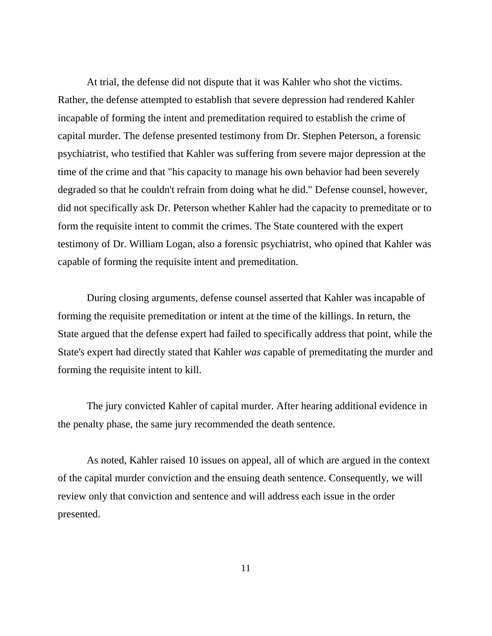At trial, the defense did not dispute that it was Kahler who shot the victims. Rather, the defense attempted to establish that severe depression had rendered Kahler incapable of forming the intent and premeditation required to establish the crime of capital murder. The defense presented testimony from Dr. Stephen Peterson, a forensic psychiatrist, who testified that Kahler was suffering from severe major depression at the time of the crime and that "his capacity to manage his own behavior had been severely degraded so that he couldn't refrain from doing what he did." Defense counsel, however, did not specifically ask Dr. Peterson whether Kahler had the capacity to premeditate or to form the requisite intent to commit the crimes. The State countered with the expert testimony of Dr. William Logan, also a forensic psychiatrist, who opined that Kahler was capable of forming the requisite intent and premeditation.

During closing arguments, defense counsel asserted that Kahler was incapable of forming the requisite premeditation or intent at the time of the killings. In return, the State argued that the defense expert had failed to specifically address that point, while the State's expert had directly stated that Kahler *was* capable of premeditating the murder and forming the requisite intent to kill.

The jury convicted Kahler of capital murder. After hearing additional evidence in the penalty phase, the same jury recommended the death sentence.

As noted, Kahler raised 10 issues on appeal, all of which are argued in the context of the capital murder conviction and the ensuing death sentence. Consequently, we will review only that conviction and sentence and will address each issue in the order presented.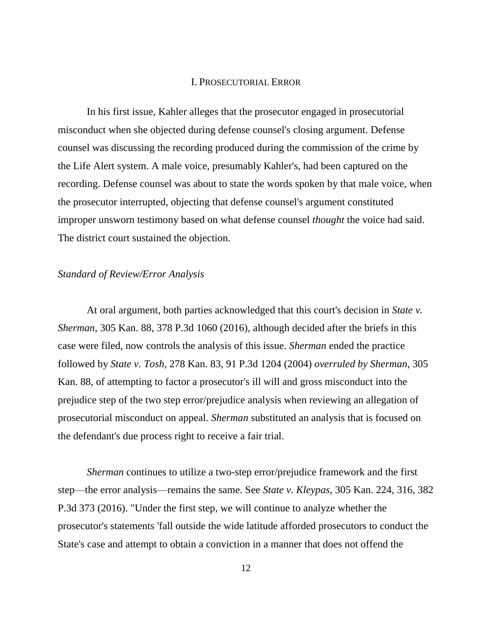#### I. PROSECUTORIAL ERROR

In his first issue, Kahler alleges that the prosecutor engaged in prosecutorial misconduct when she objected during defense counsel's closing argument. Defense counsel was discussing the recording produced during the commission of the crime by the Life Alert system. A male voice, presumably Kahler's, had been captured on the recording. Defense counsel was about to state the words spoken by that male voice, when the prosecutor interrupted, objecting that defense counsel's argument constituted improper unsworn testimony based on what defense counsel *thought* the voice had said. The district court sustained the objection.

### *Standard of Review/Error Analysis*

At oral argument, both parties acknowledged that this court's decision in *State v. Sherman*, 305 Kan. 88, 378 P.3d 1060 (2016), although decided after the briefs in this case were filed, now controls the analysis of this issue. *Sherman* ended the practice followed by *State v. Tosh*, 278 Kan. 83, 91 P.3d 1204 (2004) *overruled by Sherman*, 305 Kan. 88, of attempting to factor a prosecutor's ill will and gross misconduct into the prejudice step of the two step error/prejudice analysis when reviewing an allegation of prosecutorial misconduct on appeal. *Sherman* substituted an analysis that is focused on the defendant's due process right to receive a fair trial.

*Sherman* continues to utilize a two-step error/prejudice framework and the first step—the error analysis—remains the same. See *State v. Kleypas*, 305 Kan. 224, 316, 382 P.3d 373 (2016). "Under the first step, we will continue to analyze whether the prosecutor's statements 'fall outside the wide latitude afforded prosecutors to conduct the State's case and attempt to obtain a conviction in a manner that does not offend the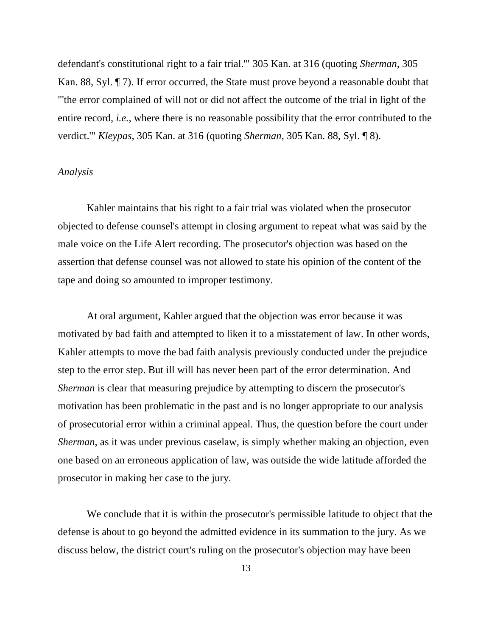defendant's constitutional right to a fair trial.'" 305 Kan. at 316 (quoting *Sherman*, 305 Kan. 88, Syl. ¶ 7). If error occurred, the State must prove beyond a reasonable doubt that "'the error complained of will not or did not affect the outcome of the trial in light of the entire record, *i.e.*, where there is no reasonable possibility that the error contributed to the verdict.'" *Kleypas*, 305 Kan. at 316 (quoting *Sherman*, 305 Kan. 88, Syl. ¶ 8).

### *Analysis*

Kahler maintains that his right to a fair trial was violated when the prosecutor objected to defense counsel's attempt in closing argument to repeat what was said by the male voice on the Life Alert recording. The prosecutor's objection was based on the assertion that defense counsel was not allowed to state his opinion of the content of the tape and doing so amounted to improper testimony.

At oral argument, Kahler argued that the objection was error because it was motivated by bad faith and attempted to liken it to a misstatement of law. In other words, Kahler attempts to move the bad faith analysis previously conducted under the prejudice step to the error step. But ill will has never been part of the error determination. And *Sherman* is clear that measuring prejudice by attempting to discern the prosecutor's motivation has been problematic in the past and is no longer appropriate to our analysis of prosecutorial error within a criminal appeal. Thus, the question before the court under *Sherman*, as it was under previous caselaw, is simply whether making an objection, even one based on an erroneous application of law, was outside the wide latitude afforded the prosecutor in making her case to the jury.

We conclude that it is within the prosecutor's permissible latitude to object that the defense is about to go beyond the admitted evidence in its summation to the jury. As we discuss below, the district court's ruling on the prosecutor's objection may have been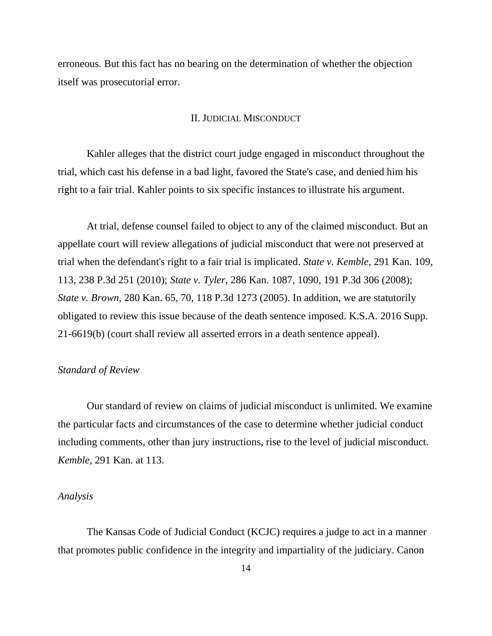erroneous. But this fact has no bearing on the determination of whether the objection itself was prosecutorial error.

#### II. JUDICIAL MISCONDUCT

Kahler alleges that the district court judge engaged in misconduct throughout the trial, which cast his defense in a bad light, favored the State's case, and denied him his right to a fair trial. Kahler points to six specific instances to illustrate his argument.

At trial, defense counsel failed to object to any of the claimed misconduct. But an appellate court will review allegations of judicial misconduct that were not preserved at trial when the defendant's right to a fair trial is implicated. *State v. Kemble*, 291 Kan. 109, 113, 238 P.3d 251 (2010); *State v. Tyler*, 286 Kan. 1087, 1090, 191 P.3d 306 (2008); *State v. Brown*, 280 Kan. 65, 70, 118 P.3d 1273 (2005). In addition, we are statutorily obligated to review this issue because of the death sentence imposed. K.S.A. 2016 Supp. 21-6619(b) (court shall review all asserted errors in a death sentence appeal).

#### *Standard of Review*

Our standard of review on claims of judicial misconduct is unlimited. We examine the particular facts and circumstances of the case to determine whether judicial conduct including comments, other than jury instructions, rise to the level of judicial misconduct. *Kemble*, 291 Kan. at 113.

#### *Analysis*

The Kansas Code of Judicial Conduct (KCJC) requires a judge to act in a manner that promotes public confidence in the integrity and impartiality of the judiciary. Canon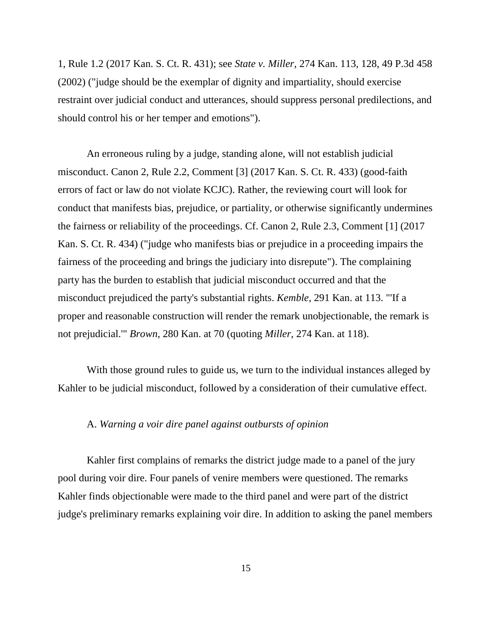1, Rule 1.2 (2017 Kan. S. Ct. R. 431); see *State v. Miller*, 274 Kan. 113, 128, 49 P.3d 458 (2002) ("judge should be the exemplar of dignity and impartiality, should exercise restraint over judicial conduct and utterances, should suppress personal predilections, and should control his or her temper and emotions").

An erroneous ruling by a judge, standing alone, will not establish judicial misconduct. Canon 2, Rule 2.2, Comment [3] (2017 Kan. S. Ct. R. 433) (good-faith errors of fact or law do not violate KCJC). Rather, the reviewing court will look for conduct that manifests bias, prejudice, or partiality, or otherwise significantly undermines the fairness or reliability of the proceedings. Cf. Canon 2, Rule 2.3, Comment [1] (2017 Kan. S. Ct. R. 434) ("judge who manifests bias or prejudice in a proceeding impairs the fairness of the proceeding and brings the judiciary into disrepute"). The complaining party has the burden to establish that judicial misconduct occurred and that the misconduct prejudiced the party's substantial rights. *Kemble*, 291 Kan. at 113. "'If a proper and reasonable construction will render the remark unobjectionable, the remark is not prejudicial.'" *Brown*, 280 Kan. at 70 (quoting *Miller*, 274 Kan. at 118).

With those ground rules to guide us, we turn to the individual instances alleged by Kahler to be judicial misconduct, followed by a consideration of their cumulative effect.

## A. *Warning a voir dire panel against outbursts of opinion*

Kahler first complains of remarks the district judge made to a panel of the jury pool during voir dire. Four panels of venire members were questioned. The remarks Kahler finds objectionable were made to the third panel and were part of the district judge's preliminary remarks explaining voir dire. In addition to asking the panel members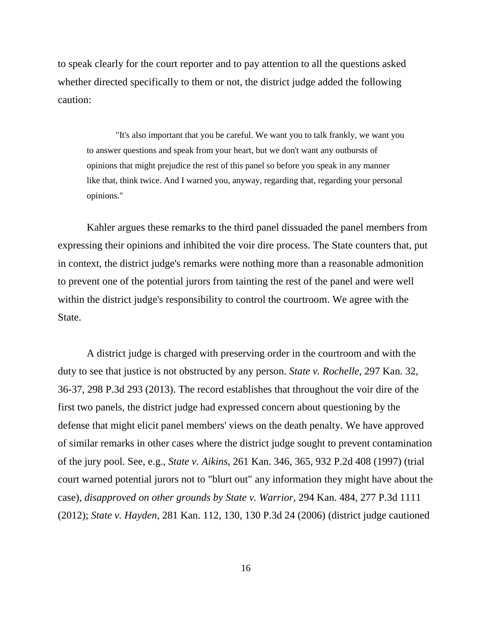to speak clearly for the court reporter and to pay attention to all the questions asked whether directed specifically to them or not, the district judge added the following caution:

"It's also important that you be careful. We want you to talk frankly, we want you to answer questions and speak from your heart, but we don't want any outbursts of opinions that might prejudice the rest of this panel so before you speak in any manner like that, think twice. And I warned you, anyway, regarding that, regarding your personal opinions."

Kahler argues these remarks to the third panel dissuaded the panel members from expressing their opinions and inhibited the voir dire process. The State counters that, put in context, the district judge's remarks were nothing more than a reasonable admonition to prevent one of the potential jurors from tainting the rest of the panel and were well within the district judge's responsibility to control the courtroom. We agree with the State.

A district judge is charged with preserving order in the courtroom and with the duty to see that justice is not obstructed by any person. *State v. Rochelle*, 297 Kan. 32, 36-37, 298 P.3d 293 (2013). The record establishes that throughout the voir dire of the first two panels, the district judge had expressed concern about questioning by the defense that might elicit panel members' views on the death penalty. We have approved of similar remarks in other cases where the district judge sought to prevent contamination of the jury pool. See, e.g., *State v. Aikins*, 261 Kan. 346, 365, 932 P.2d 408 (1997) (trial court warned potential jurors not to "blurt out" any information they might have about the case), *disapproved on other grounds by State v. Warrior*, 294 Kan. 484, 277 P.3d 1111 (2012); *State v. Hayden*, 281 Kan. 112, 130, 130 P.3d 24 (2006) (district judge cautioned

16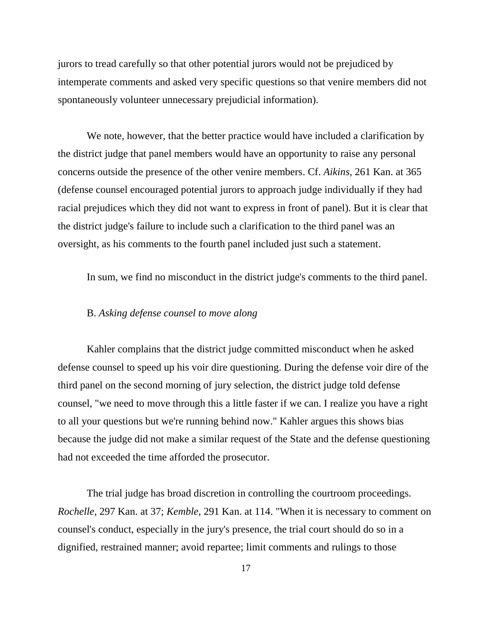jurors to tread carefully so that other potential jurors would not be prejudiced by intemperate comments and asked very specific questions so that venire members did not spontaneously volunteer unnecessary prejudicial information).

We note, however, that the better practice would have included a clarification by the district judge that panel members would have an opportunity to raise any personal concerns outside the presence of the other venire members. Cf. *Aikins*, 261 Kan. at 365 (defense counsel encouraged potential jurors to approach judge individually if they had racial prejudices which they did not want to express in front of panel). But it is clear that the district judge's failure to include such a clarification to the third panel was an oversight, as his comments to the fourth panel included just such a statement.

In sum, we find no misconduct in the district judge's comments to the third panel.

## B. *Asking defense counsel to move along*

Kahler complains that the district judge committed misconduct when he asked defense counsel to speed up his voir dire questioning. During the defense voir dire of the third panel on the second morning of jury selection, the district judge told defense counsel, "we need to move through this a little faster if we can. I realize you have a right to all your questions but we're running behind now." Kahler argues this shows bias because the judge did not make a similar request of the State and the defense questioning had not exceeded the time afforded the prosecutor.

The trial judge has broad discretion in controlling the courtroom proceedings. *Rochelle*, 297 Kan. at 37; *Kemble*, 291 Kan. at 114. "When it is necessary to comment on counsel's conduct, especially in the jury's presence, the trial court should do so in a dignified, restrained manner; avoid repartee; limit comments and rulings to those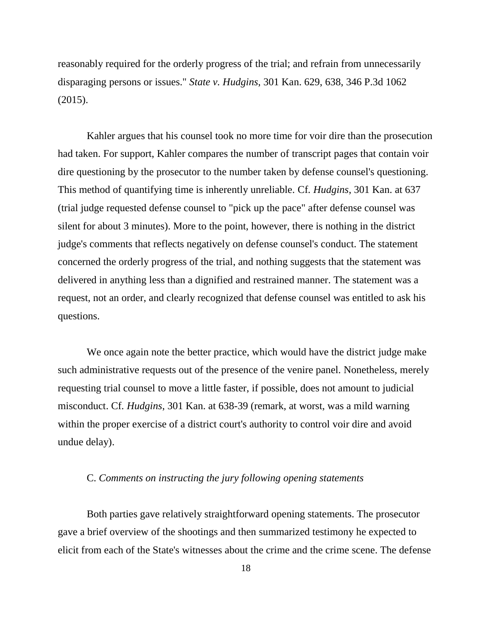reasonably required for the orderly progress of the trial; and refrain from unnecessarily disparaging persons or issues." *State v. Hudgins*, 301 Kan. 629, 638, 346 P.3d 1062 (2015).

Kahler argues that his counsel took no more time for voir dire than the prosecution had taken. For support, Kahler compares the number of transcript pages that contain voir dire questioning by the prosecutor to the number taken by defense counsel's questioning. This method of quantifying time is inherently unreliable. Cf*. Hudgins*, 301 Kan. at 637 (trial judge requested defense counsel to "pick up the pace" after defense counsel was silent for about 3 minutes). More to the point, however, there is nothing in the district judge's comments that reflects negatively on defense counsel's conduct. The statement concerned the orderly progress of the trial, and nothing suggests that the statement was delivered in anything less than a dignified and restrained manner. The statement was a request, not an order, and clearly recognized that defense counsel was entitled to ask his questions.

We once again note the better practice, which would have the district judge make such administrative requests out of the presence of the venire panel. Nonetheless, merely requesting trial counsel to move a little faster, if possible, does not amount to judicial misconduct. Cf*. Hudgins*, 301 Kan. at 638-39 (remark, at worst, was a mild warning within the proper exercise of a district court's authority to control voir dire and avoid undue delay).

### C. *Comments on instructing the jury following opening statements*

Both parties gave relatively straightforward opening statements. The prosecutor gave a brief overview of the shootings and then summarized testimony he expected to elicit from each of the State's witnesses about the crime and the crime scene. The defense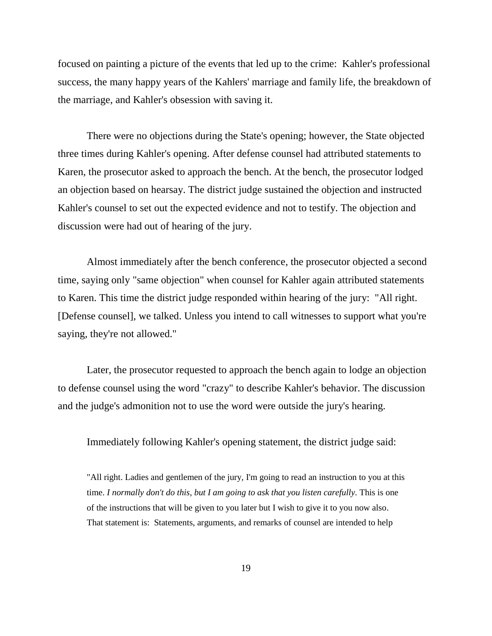focused on painting a picture of the events that led up to the crime: Kahler's professional success, the many happy years of the Kahlers' marriage and family life, the breakdown of the marriage, and Kahler's obsession with saving it.

There were no objections during the State's opening; however, the State objected three times during Kahler's opening. After defense counsel had attributed statements to Karen, the prosecutor asked to approach the bench. At the bench, the prosecutor lodged an objection based on hearsay. The district judge sustained the objection and instructed Kahler's counsel to set out the expected evidence and not to testify. The objection and discussion were had out of hearing of the jury.

Almost immediately after the bench conference, the prosecutor objected a second time, saying only "same objection" when counsel for Kahler again attributed statements to Karen. This time the district judge responded within hearing of the jury: "All right. [Defense counsel], we talked. Unless you intend to call witnesses to support what you're saying, they're not allowed."

Later, the prosecutor requested to approach the bench again to lodge an objection to defense counsel using the word "crazy" to describe Kahler's behavior. The discussion and the judge's admonition not to use the word were outside the jury's hearing.

Immediately following Kahler's opening statement, the district judge said:

"All right. Ladies and gentlemen of the jury, I'm going to read an instruction to you at this time. *I normally don't do this, but I am going to ask that you listen carefully*. This is one of the instructions that will be given to you later but I wish to give it to you now also. That statement is: Statements, arguments, and remarks of counsel are intended to help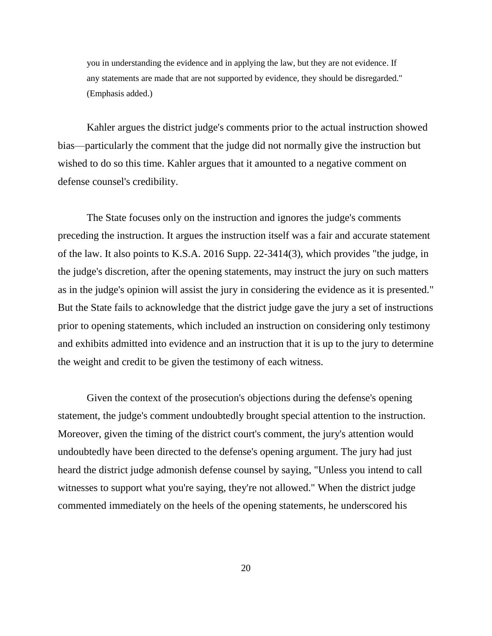you in understanding the evidence and in applying the law, but they are not evidence. If any statements are made that are not supported by evidence, they should be disregarded." (Emphasis added.)

Kahler argues the district judge's comments prior to the actual instruction showed bias—particularly the comment that the judge did not normally give the instruction but wished to do so this time. Kahler argues that it amounted to a negative comment on defense counsel's credibility.

The State focuses only on the instruction and ignores the judge's comments preceding the instruction. It argues the instruction itself was a fair and accurate statement of the law. It also points to K.S.A. 2016 Supp. 22-3414(3), which provides "the judge, in the judge's discretion, after the opening statements, may instruct the jury on such matters as in the judge's opinion will assist the jury in considering the evidence as it is presented." But the State fails to acknowledge that the district judge gave the jury a set of instructions prior to opening statements, which included an instruction on considering only testimony and exhibits admitted into evidence and an instruction that it is up to the jury to determine the weight and credit to be given the testimony of each witness.

Given the context of the prosecution's objections during the defense's opening statement, the judge's comment undoubtedly brought special attention to the instruction. Moreover, given the timing of the district court's comment, the jury's attention would undoubtedly have been directed to the defense's opening argument. The jury had just heard the district judge admonish defense counsel by saying, "Unless you intend to call witnesses to support what you're saying, they're not allowed." When the district judge commented immediately on the heels of the opening statements, he underscored his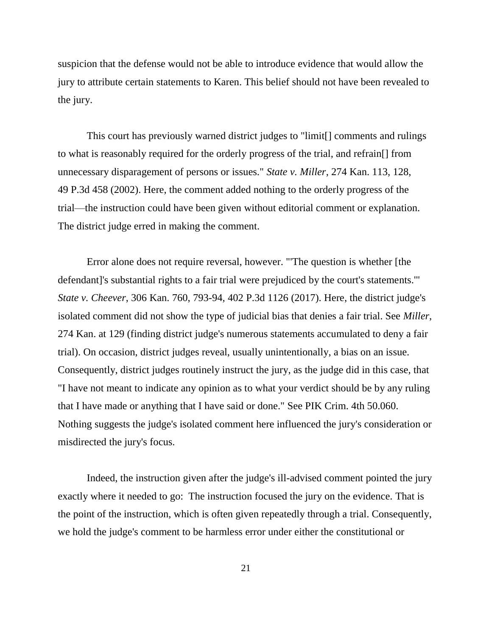suspicion that the defense would not be able to introduce evidence that would allow the jury to attribute certain statements to Karen. This belief should not have been revealed to the jury.

This court has previously warned district judges to "limit[] comments and rulings to what is reasonably required for the orderly progress of the trial, and refrain[] from unnecessary disparagement of persons or issues." *State v. Miller*, 274 Kan. 113, 128, 49 P.3d 458 (2002). Here, the comment added nothing to the orderly progress of the trial—the instruction could have been given without editorial comment or explanation. The district judge erred in making the comment.

Error alone does not require reversal, however. "'The question is whether [the defendant]'s substantial rights to a fair trial were prejudiced by the court's statements.'" *State v. Cheever*, 306 Kan. 760, 793-94, 402 P.3d 1126 (2017). Here, the district judge's isolated comment did not show the type of judicial bias that denies a fair trial. See *Miller*, 274 Kan. at 129 (finding district judge's numerous statements accumulated to deny a fair trial). On occasion, district judges reveal, usually unintentionally, a bias on an issue. Consequently, district judges routinely instruct the jury, as the judge did in this case, that "I have not meant to indicate any opinion as to what your verdict should be by any ruling that I have made or anything that I have said or done." See PIK Crim. 4th 50.060. Nothing suggests the judge's isolated comment here influenced the jury's consideration or misdirected the jury's focus.

Indeed, the instruction given after the judge's ill-advised comment pointed the jury exactly where it needed to go: The instruction focused the jury on the evidence. That is the point of the instruction, which is often given repeatedly through a trial. Consequently, we hold the judge's comment to be harmless error under either the constitutional or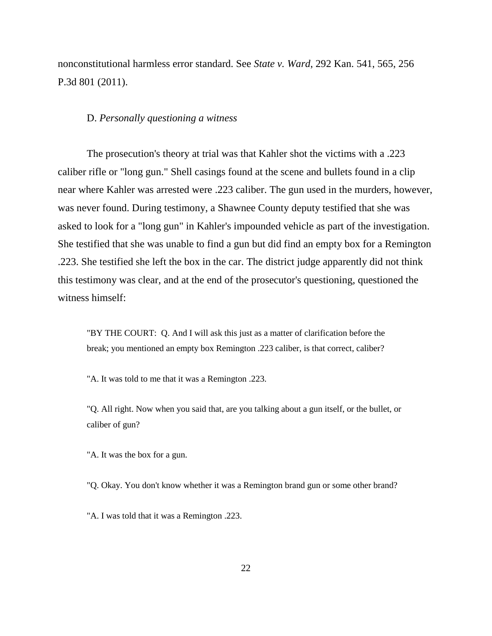nonconstitutional harmless error standard. See *State v. Ward*, 292 Kan. 541, 565, 256 P.3d 801 (2011).

#### D. *Personally questioning a witness*

The prosecution's theory at trial was that Kahler shot the victims with a .223 caliber rifle or "long gun." Shell casings found at the scene and bullets found in a clip near where Kahler was arrested were .223 caliber. The gun used in the murders, however, was never found. During testimony, a Shawnee County deputy testified that she was asked to look for a "long gun" in Kahler's impounded vehicle as part of the investigation. She testified that she was unable to find a gun but did find an empty box for a Remington .223. She testified she left the box in the car. The district judge apparently did not think this testimony was clear, and at the end of the prosecutor's questioning, questioned the witness himself:

"BY THE COURT: Q. And I will ask this just as a matter of clarification before the break; you mentioned an empty box Remington .223 caliber, is that correct, caliber?

"A. It was told to me that it was a Remington .223.

"Q. All right. Now when you said that, are you talking about a gun itself, or the bullet, or caliber of gun?

"A. It was the box for a gun.

"Q. Okay. You don't know whether it was a Remington brand gun or some other brand?

"A. I was told that it was a Remington .223.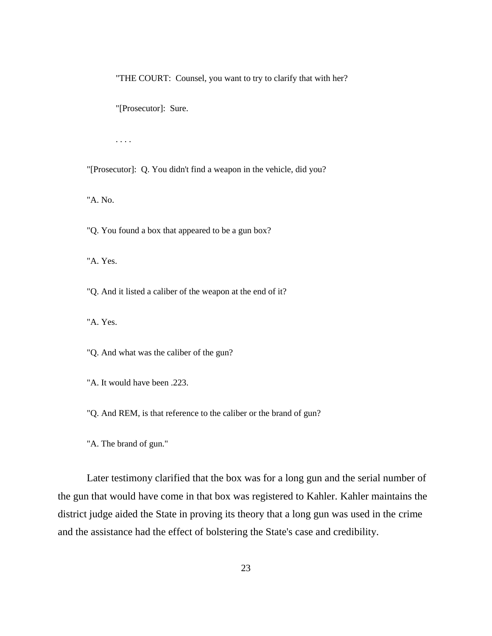"THE COURT: Counsel, you want to try to clarify that with her?

"[Prosecutor]: Sure.

. . . .

"[Prosecutor]: Q. You didn't find a weapon in the vehicle, did you?

"A. No.

"Q. You found a box that appeared to be a gun box?

"A. Yes.

"Q. And it listed a caliber of the weapon at the end of it?

"A. Yes.

"Q. And what was the caliber of the gun?

"A. It would have been .223.

"Q. And REM, is that reference to the caliber or the brand of gun?

"A. The brand of gun."

Later testimony clarified that the box was for a long gun and the serial number of the gun that would have come in that box was registered to Kahler. Kahler maintains the district judge aided the State in proving its theory that a long gun was used in the crime and the assistance had the effect of bolstering the State's case and credibility.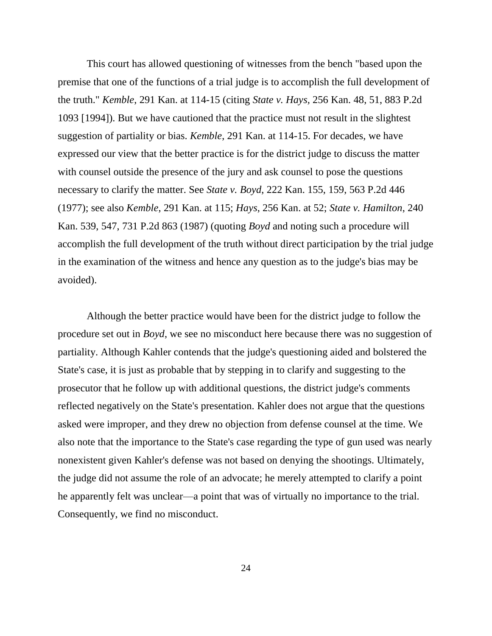This court has allowed questioning of witnesses from the bench "based upon the premise that one of the functions of a trial judge is to accomplish the full development of the truth." *Kemble*, 291 Kan. at 114-15 (citing *State v. Hays,* 256 Kan. 48, 51, 883 P.2d 1093 [1994]). But we have cautioned that the practice must not result in the slightest suggestion of partiality or bias. *Kemble*, 291 Kan. at 114-15. For decades, we have expressed our view that the better practice is for the district judge to discuss the matter with counsel outside the presence of the jury and ask counsel to pose the questions necessary to clarify the matter. See *State v. Boyd*, 222 Kan. 155, 159, 563 P.2d 446 (1977); see also *Kemble*, 291 Kan. at 115; *Hays*, 256 Kan. at 52; *State v. Hamilton*, 240 Kan. 539, 547, 731 P.2d 863 (1987) (quoting *Boyd* and noting such a procedure will accomplish the full development of the truth without direct participation by the trial judge in the examination of the witness and hence any question as to the judge's bias may be avoided).

Although the better practice would have been for the district judge to follow the procedure set out in *Boyd*, we see no misconduct here because there was no suggestion of partiality. Although Kahler contends that the judge's questioning aided and bolstered the State's case, it is just as probable that by stepping in to clarify and suggesting to the prosecutor that he follow up with additional questions, the district judge's comments reflected negatively on the State's presentation. Kahler does not argue that the questions asked were improper, and they drew no objection from defense counsel at the time. We also note that the importance to the State's case regarding the type of gun used was nearly nonexistent given Kahler's defense was not based on denying the shootings. Ultimately, the judge did not assume the role of an advocate; he merely attempted to clarify a point he apparently felt was unclear—a point that was of virtually no importance to the trial. Consequently, we find no misconduct.

24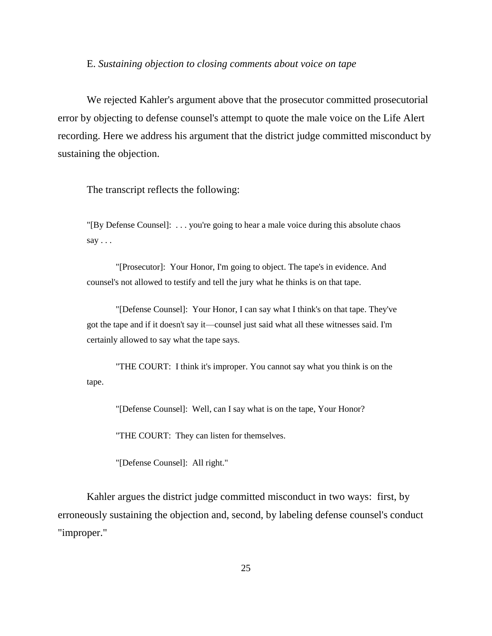#### E. *Sustaining objection to closing comments about voice on tape*

We rejected Kahler's argument above that the prosecutor committed prosecutorial error by objecting to defense counsel's attempt to quote the male voice on the Life Alert recording. Here we address his argument that the district judge committed misconduct by sustaining the objection.

The transcript reflects the following:

"[By Defense Counsel]: . . . you're going to hear a male voice during this absolute chaos say . . .

"[Prosecutor]: Your Honor, I'm going to object. The tape's in evidence. And counsel's not allowed to testify and tell the jury what he thinks is on that tape.

"[Defense Counsel]: Your Honor, I can say what I think's on that tape. They've got the tape and if it doesn't say it—counsel just said what all these witnesses said. I'm certainly allowed to say what the tape says.

"THE COURT: I think it's improper. You cannot say what you think is on the tape.

"[Defense Counsel]: Well, can I say what is on the tape, Your Honor?

"THE COURT: They can listen for themselves.

"[Defense Counsel]: All right."

Kahler argues the district judge committed misconduct in two ways: first, by erroneously sustaining the objection and, second, by labeling defense counsel's conduct "improper."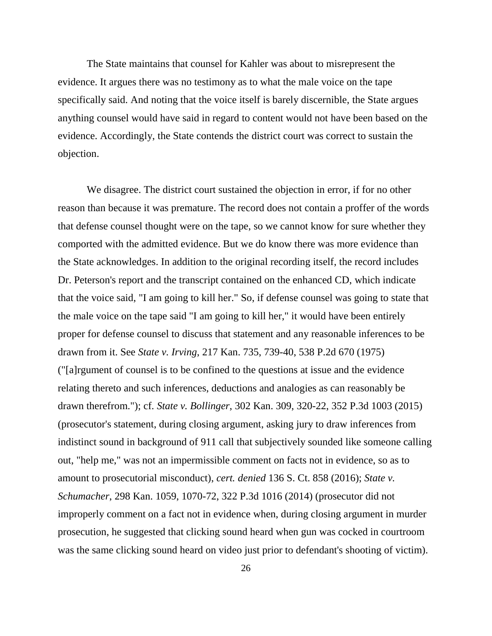The State maintains that counsel for Kahler was about to misrepresent the evidence. It argues there was no testimony as to what the male voice on the tape specifically said. And noting that the voice itself is barely discernible, the State argues anything counsel would have said in regard to content would not have been based on the evidence. Accordingly, the State contends the district court was correct to sustain the objection.

We disagree. The district court sustained the objection in error, if for no other reason than because it was premature. The record does not contain a proffer of the words that defense counsel thought were on the tape, so we cannot know for sure whether they comported with the admitted evidence. But we do know there was more evidence than the State acknowledges. In addition to the original recording itself, the record includes Dr. Peterson's report and the transcript contained on the enhanced CD, which indicate that the voice said, "I am going to kill her." So, if defense counsel was going to state that the male voice on the tape said "I am going to kill her," it would have been entirely proper for defense counsel to discuss that statement and any reasonable inferences to be drawn from it. See *State v. Irving*, 217 Kan. 735, 739-40, 538 P.2d 670 (1975) ("[a]rgument of counsel is to be confined to the questions at issue and the evidence relating thereto and such inferences, deductions and analogies as can reasonably be drawn therefrom."); cf*. State v. Bollinger*, 302 Kan. 309, 320-22, 352 P.3d 1003 (2015) (prosecutor's statement, during closing argument, asking jury to draw inferences from indistinct sound in background of 911 call that subjectively sounded like someone calling out, "help me," was not an impermissible comment on facts not in evidence, so as to amount to prosecutorial misconduct), *cert. denied* 136 S. Ct. 858 (2016); *State v. Schumacher*, 298 Kan. 1059, 1070-72, 322 P.3d 1016 (2014) (prosecutor did not improperly comment on a fact not in evidence when, during closing argument in murder prosecution, he suggested that clicking sound heard when gun was cocked in courtroom was the same clicking sound heard on video just prior to defendant's shooting of victim).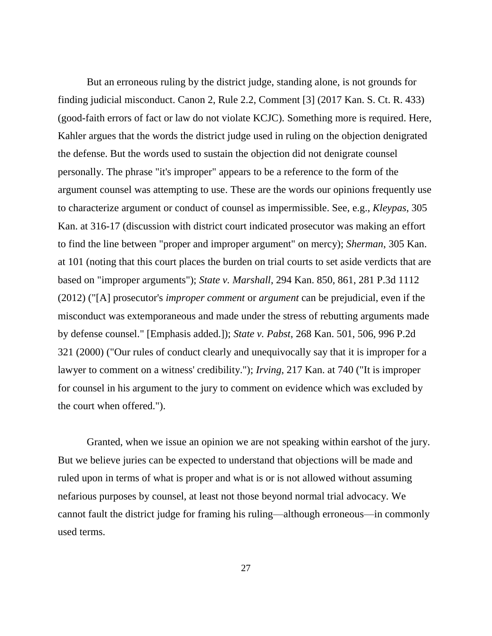But an erroneous ruling by the district judge, standing alone, is not grounds for finding judicial misconduct. Canon 2, Rule 2.2, Comment [3] (2017 Kan. S. Ct. R. 433) (good-faith errors of fact or law do not violate KCJC). Something more is required. Here, Kahler argues that the words the district judge used in ruling on the objection denigrated the defense. But the words used to sustain the objection did not denigrate counsel personally. The phrase "it's improper" appears to be a reference to the form of the argument counsel was attempting to use. These are the words our opinions frequently use to characterize argument or conduct of counsel as impermissible. See, e.g., *Kleypas*, 305 Kan. at 316-17 (discussion with district court indicated prosecutor was making an effort to find the line between "proper and improper argument" on mercy); *Sherman*, 305 Kan. at 101 (noting that this court places the burden on trial courts to set aside verdicts that are based on "improper arguments"); *State v. Marshall*, 294 Kan. 850, 861, 281 P.3d 1112 (2012) ("[A] prosecutor's *improper comment* or *argument* can be prejudicial, even if the misconduct was extemporaneous and made under the stress of rebutting arguments made by defense counsel." [Emphasis added.]); *State v. Pabst*, 268 Kan. 501, 506, 996 P.2d 321 (2000) ("Our rules of conduct clearly and unequivocally say that it is improper for a lawyer to comment on a witness' credibility."); *Irving*, 217 Kan. at 740 ("It is improper for counsel in his argument to the jury to comment on evidence which was excluded by the court when offered.").

Granted, when we issue an opinion we are not speaking within earshot of the jury. But we believe juries can be expected to understand that objections will be made and ruled upon in terms of what is proper and what is or is not allowed without assuming nefarious purposes by counsel, at least not those beyond normal trial advocacy. We cannot fault the district judge for framing his ruling—although erroneous—in commonly used terms.

27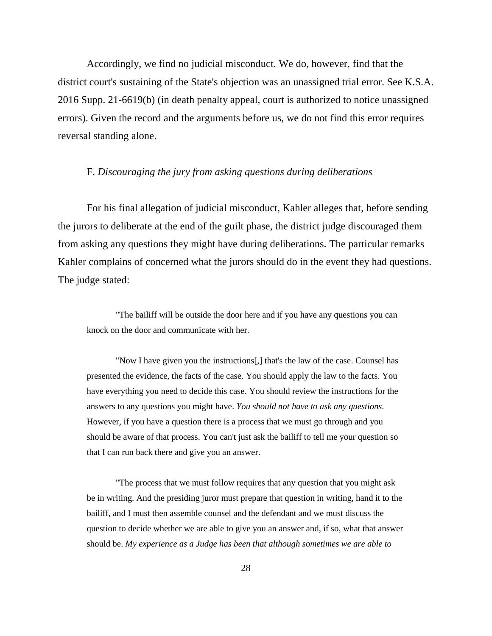Accordingly, we find no judicial misconduct. We do, however, find that the district court's sustaining of the State's objection was an unassigned trial error. See K.S.A. 2016 Supp. 21-6619(b) (in death penalty appeal, court is authorized to notice unassigned errors). Given the record and the arguments before us, we do not find this error requires reversal standing alone.

## F. *Discouraging the jury from asking questions during deliberations*

For his final allegation of judicial misconduct, Kahler alleges that, before sending the jurors to deliberate at the end of the guilt phase, the district judge discouraged them from asking any questions they might have during deliberations. The particular remarks Kahler complains of concerned what the jurors should do in the event they had questions. The judge stated:

"The bailiff will be outside the door here and if you have any questions you can knock on the door and communicate with her.

"Now I have given you the instructions[,] that's the law of the case. Counsel has presented the evidence, the facts of the case. You should apply the law to the facts. You have everything you need to decide this case. You should review the instructions for the answers to any questions you might have. *You should not have to ask any questions.*  However, if you have a question there is a process that we must go through and you should be aware of that process. You can't just ask the bailiff to tell me your question so that I can run back there and give you an answer.

"The process that we must follow requires that any question that you might ask be in writing. And the presiding juror must prepare that question in writing, hand it to the bailiff, and I must then assemble counsel and the defendant and we must discuss the question to decide whether we are able to give you an answer and, if so, what that answer should be. *My experience as a Judge has been that although sometimes we are able to*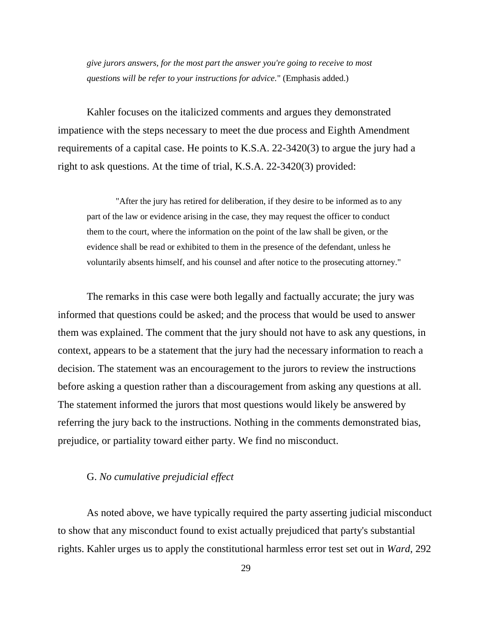*give jurors answers, for the most part the answer you're going to receive to most questions will be refer to your instructions for advice.*" (Emphasis added.)

Kahler focuses on the italicized comments and argues they demonstrated impatience with the steps necessary to meet the due process and Eighth Amendment requirements of a capital case. He points to K.S.A. 22-3420(3) to argue the jury had a right to ask questions. At the time of trial, K.S.A. 22-3420(3) provided:

"After the jury has retired for deliberation, if they desire to be informed as to any part of the law or evidence arising in the case, they may request the officer to conduct them to the court, where the information on the point of the law shall be given, or the evidence shall be read or exhibited to them in the presence of the defendant, unless he voluntarily absents himself, and his counsel and after notice to the prosecuting attorney."

The remarks in this case were both legally and factually accurate; the jury was informed that questions could be asked; and the process that would be used to answer them was explained. The comment that the jury should not have to ask any questions, in context, appears to be a statement that the jury had the necessary information to reach a decision. The statement was an encouragement to the jurors to review the instructions before asking a question rather than a discouragement from asking any questions at all. The statement informed the jurors that most questions would likely be answered by referring the jury back to the instructions. Nothing in the comments demonstrated bias, prejudice, or partiality toward either party. We find no misconduct.

## G. *No cumulative prejudicial effect*

As noted above, we have typically required the party asserting judicial misconduct to show that any misconduct found to exist actually prejudiced that party's substantial rights. Kahler urges us to apply the constitutional harmless error test set out in *Ward*, 292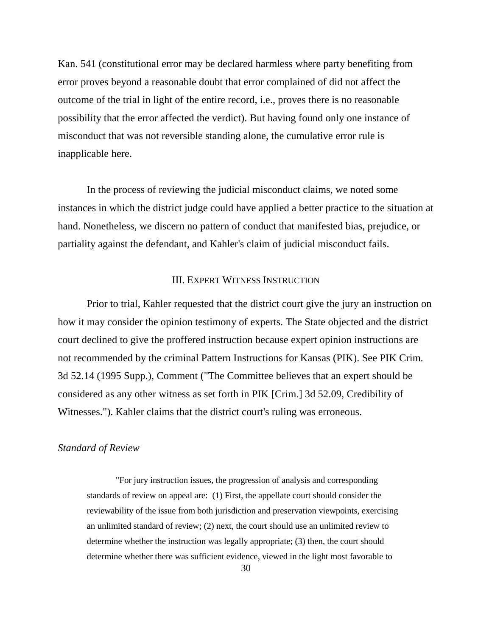Kan. 541 (constitutional error may be declared harmless where party benefiting from error proves beyond a reasonable doubt that error complained of did not affect the outcome of the trial in light of the entire record, i.e., proves there is no reasonable possibility that the error affected the verdict). But having found only one instance of misconduct that was not reversible standing alone, the cumulative error rule is inapplicable here.

In the process of reviewing the judicial misconduct claims, we noted some instances in which the district judge could have applied a better practice to the situation at hand. Nonetheless, we discern no pattern of conduct that manifested bias, prejudice, or partiality against the defendant, and Kahler's claim of judicial misconduct fails.

## III. EXPERT WITNESS INSTRUCTION

Prior to trial, Kahler requested that the district court give the jury an instruction on how it may consider the opinion testimony of experts. The State objected and the district court declined to give the proffered instruction because expert opinion instructions are not recommended by the criminal Pattern Instructions for Kansas (PIK). See PIK Crim. 3d 52.14 (1995 Supp.), Comment ("The Committee believes that an expert should be considered as any other witness as set forth in PIK [Crim.] 3d 52.09, Credibility of Witnesses."). Kahler claims that the district court's ruling was erroneous.

### *Standard of Review*

"For jury instruction issues, the progression of analysis and corresponding standards of review on appeal are: (1) First, the appellate court should consider the reviewability of the issue from both jurisdiction and preservation viewpoints, exercising an unlimited standard of review; (2) next, the court should use an unlimited review to determine whether the instruction was legally appropriate; (3) then, the court should determine whether there was sufficient evidence, viewed in the light most favorable to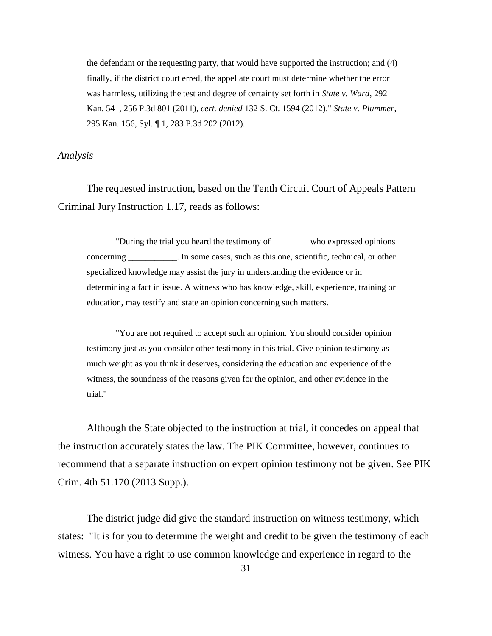the defendant or the requesting party, that would have supported the instruction; and (4) finally, if the district court erred, the appellate court must determine whether the error was harmless, utilizing the test and degree of certainty set forth in *State v. Ward*, 292 Kan. 541, 256 P.3d 801 (2011), *cert. denied* 132 S. Ct. 1594 (2012)." *State v. Plummer*, 295 Kan. 156, Syl. ¶ 1, 283 P.3d 202 (2012).

## *Analysis*

The requested instruction, based on the Tenth Circuit Court of Appeals Pattern Criminal Jury Instruction 1.17, reads as follows:

"During the trial you heard the testimony of \_\_\_\_\_\_\_\_ who expressed opinions concerning \_\_\_\_\_\_\_\_\_\_\_. In some cases, such as this one, scientific, technical, or other specialized knowledge may assist the jury in understanding the evidence or in determining a fact in issue. A witness who has knowledge, skill, experience, training or education, may testify and state an opinion concerning such matters.

"You are not required to accept such an opinion. You should consider opinion testimony just as you consider other testimony in this trial. Give opinion testimony as much weight as you think it deserves, considering the education and experience of the witness, the soundness of the reasons given for the opinion, and other evidence in the trial."

Although the State objected to the instruction at trial, it concedes on appeal that the instruction accurately states the law. The PIK Committee, however, continues to recommend that a separate instruction on expert opinion testimony not be given. See PIK Crim. 4th 51.170 (2013 Supp.).

The district judge did give the standard instruction on witness testimony, which states: "It is for you to determine the weight and credit to be given the testimony of each witness. You have a right to use common knowledge and experience in regard to the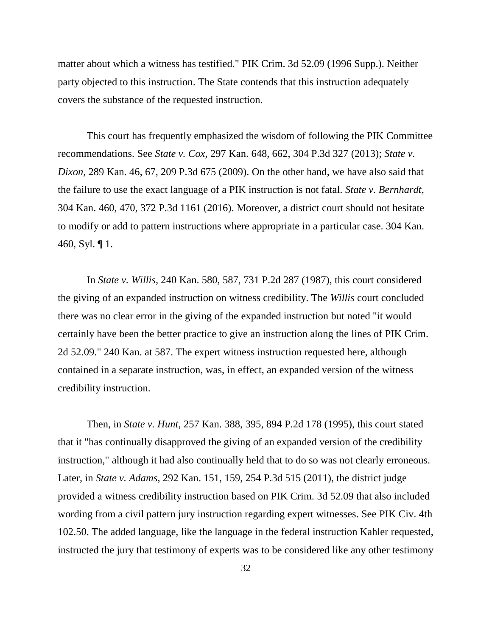matter about which a witness has testified." PIK Crim. 3d 52.09 (1996 Supp.). Neither party objected to this instruction. The State contends that this instruction adequately covers the substance of the requested instruction.

This court has frequently emphasized the wisdom of following the PIK Committee recommendations. See *State v. Cox*, 297 Kan. 648, 662, 304 P.3d 327 (2013); *State v. Dixon*, 289 Kan. 46, 67, 209 P.3d 675 (2009). On the other hand, we have also said that the failure to use the exact language of a PIK instruction is not fatal. *State v. Bernhardt*, 304 Kan. 460, 470, 372 P.3d 1161 (2016). Moreover, a district court should not hesitate to modify or add to pattern instructions where appropriate in a particular case. 304 Kan. 460, Syl. ¶ 1.

In *State v. Willis*, 240 Kan. 580, 587, 731 P.2d 287 (1987), this court considered the giving of an expanded instruction on witness credibility. The *Willis* court concluded there was no clear error in the giving of the expanded instruction but noted "it would certainly have been the better practice to give an instruction along the lines of PIK Crim. 2d 52.09." 240 Kan. at 587. The expert witness instruction requested here, although contained in a separate instruction, was, in effect, an expanded version of the witness credibility instruction.

Then, in *State v. Hunt*, 257 Kan. 388, 395, 894 P.2d 178 (1995), this court stated that it "has continually disapproved the giving of an expanded version of the credibility instruction," although it had also continually held that to do so was not clearly erroneous. Later, in *State v. Adams*, 292 Kan. 151, 159, 254 P.3d 515 (2011), the district judge provided a witness credibility instruction based on PIK Crim. 3d 52.09 that also included wording from a civil pattern jury instruction regarding expert witnesses. See PIK Civ. 4th 102.50. The added language, like the language in the federal instruction Kahler requested, instructed the jury that testimony of experts was to be considered like any other testimony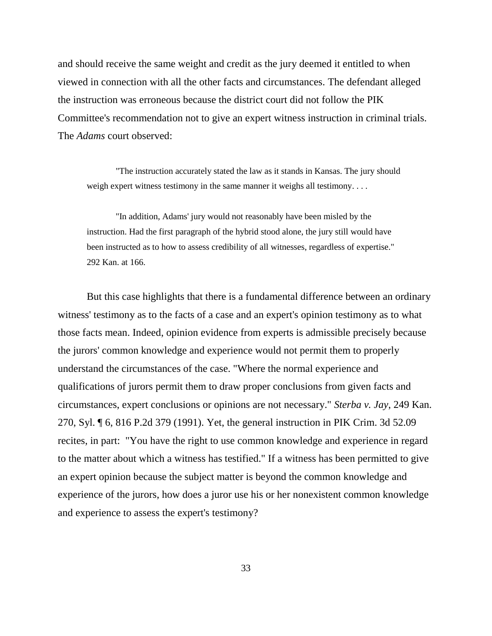and should receive the same weight and credit as the jury deemed it entitled to when viewed in connection with all the other facts and circumstances. The defendant alleged the instruction was erroneous because the district court did not follow the PIK Committee's recommendation not to give an expert witness instruction in criminal trials. The *Adams* court observed:

"The instruction accurately stated the law as it stands in Kansas. The jury should weigh expert witness testimony in the same manner it weighs all testimony....

"In addition, Adams' jury would not reasonably have been misled by the instruction. Had the first paragraph of the hybrid stood alone, the jury still would have been instructed as to how to assess credibility of all witnesses, regardless of expertise." 292 Kan. at 166.

But this case highlights that there is a fundamental difference between an ordinary witness' testimony as to the facts of a case and an expert's opinion testimony as to what those facts mean. Indeed, opinion evidence from experts is admissible precisely because the jurors' common knowledge and experience would not permit them to properly understand the circumstances of the case. "Where the normal experience and qualifications of jurors permit them to draw proper conclusions from given facts and circumstances, expert conclusions or opinions are not necessary." *Sterba v. Jay*, 249 Kan. 270, Syl. ¶ 6, 816 P.2d 379 (1991). Yet, the general instruction in PIK Crim. 3d 52.09 recites, in part: "You have the right to use common knowledge and experience in regard to the matter about which a witness has testified." If a witness has been permitted to give an expert opinion because the subject matter is beyond the common knowledge and experience of the jurors, how does a juror use his or her nonexistent common knowledge and experience to assess the expert's testimony?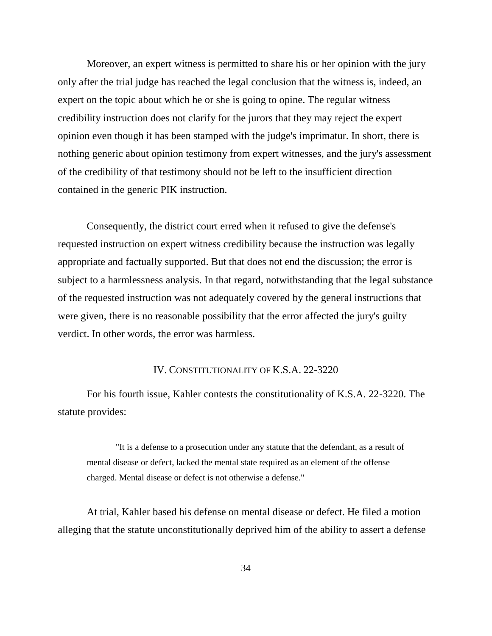Moreover, an expert witness is permitted to share his or her opinion with the jury only after the trial judge has reached the legal conclusion that the witness is, indeed, an expert on the topic about which he or she is going to opine. The regular witness credibility instruction does not clarify for the jurors that they may reject the expert opinion even though it has been stamped with the judge's imprimatur. In short, there is nothing generic about opinion testimony from expert witnesses, and the jury's assessment of the credibility of that testimony should not be left to the insufficient direction contained in the generic PIK instruction.

Consequently, the district court erred when it refused to give the defense's requested instruction on expert witness credibility because the instruction was legally appropriate and factually supported. But that does not end the discussion; the error is subject to a harmlessness analysis. In that regard, notwithstanding that the legal substance of the requested instruction was not adequately covered by the general instructions that were given, there is no reasonable possibility that the error affected the jury's guilty verdict. In other words, the error was harmless.

#### IV. CONSTITUTIONALITY OF K.S.A. 22-3220

For his fourth issue, Kahler contests the constitutionality of K.S.A. 22-3220. The statute provides:

"It is a defense to a prosecution under any statute that the defendant, as a result of mental disease or defect, lacked the mental state required as an element of the offense charged. Mental disease or defect is not otherwise a defense."

At trial, Kahler based his defense on mental disease or defect. He filed a motion alleging that the statute unconstitutionally deprived him of the ability to assert a defense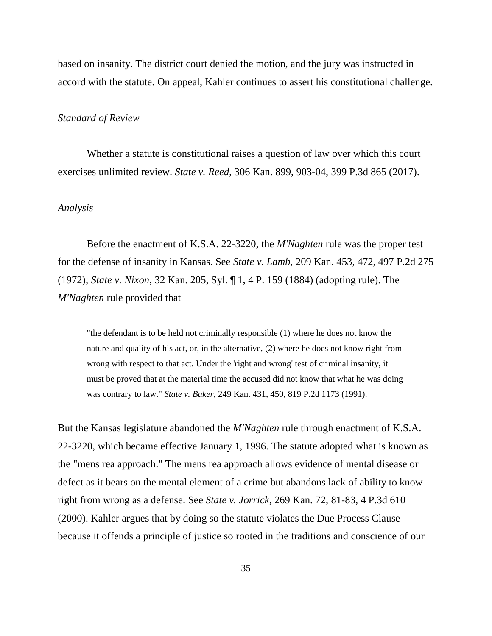based on insanity. The district court denied the motion, and the jury was instructed in accord with the statute. On appeal, Kahler continues to assert his constitutional challenge.

#### *Standard of Review*

Whether a statute is constitutional raises a question of law over which this court exercises unlimited review. *State v. Reed*, 306 Kan. 899, 903-04, 399 P.3d 865 (2017).

#### *Analysis*

Before the enactment of K.S.A. 22-3220, the *M'Naghten* rule was the proper test for the defense of insanity in Kansas. See *State v. Lamb*, 209 Kan. 453, 472, 497 P.2d 275 (1972); *State v. Nixon*, 32 Kan. 205, Syl. ¶ 1, 4 P. 159 (1884) (adopting rule). The *M'Naghten* rule provided that

"the defendant is to be held not criminally responsible (1) where he does not know the nature and quality of his act, or, in the alternative, (2) where he does not know right from wrong with respect to that act. Under the 'right and wrong' test of criminal insanity, it must be proved that at the material time the accused did not know that what he was doing was contrary to law." *State v. Baker*, 249 Kan. 431, 450, 819 P.2d 1173 (1991).

But the Kansas legislature abandoned the *M'Naghten* rule through enactment of K.S.A. 22-3220, which became effective January 1, 1996. The statute adopted what is known as the "mens rea approach." The mens rea approach allows evidence of mental disease or defect as it bears on the mental element of a crime but abandons lack of ability to know right from wrong as a defense. See *State v. Jorrick*, 269 Kan. 72, 81-83, 4 P.3d 610 (2000). Kahler argues that by doing so the statute violates the Due Process Clause because it offends a principle of justice so rooted in the traditions and conscience of our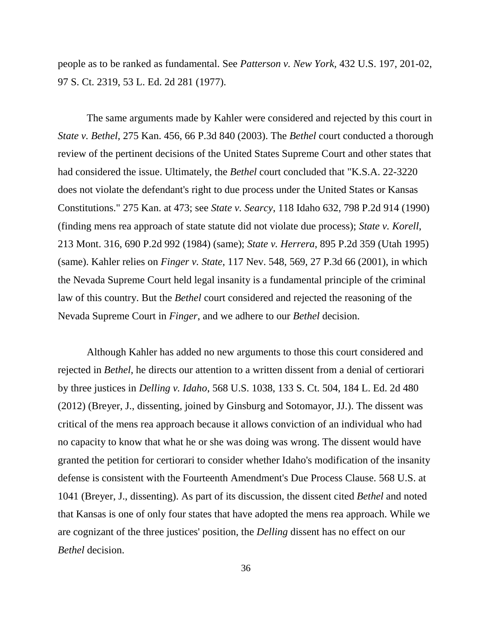people as to be ranked as fundamental. See *Patterson v. New York,* 432 U.S. 197, 201-02, 97 S. Ct. 2319, 53 L. Ed. 2d 281 (1977).

The same arguments made by Kahler were considered and rejected by this court in *State v. Bethel,* 275 Kan. 456, 66 P.3d 840 (2003). The *Bethel* court conducted a thorough review of the pertinent decisions of the United States Supreme Court and other states that had considered the issue. Ultimately, the *Bethel* court concluded that "K.S.A. 22-3220 does not violate the defendant's right to due process under the United States or Kansas Constitutions." 275 Kan. at 473; see *State v. Searcy*, 118 Idaho 632, 798 P.2d 914 (1990) (finding mens rea approach of state statute did not violate due process); *State v. Korell*, 213 Mont. 316, 690 P.2d 992 (1984) (same); *State v. Herrera*, 895 P.2d 359 (Utah 1995) (same). Kahler relies on *Finger v. State*, 117 Nev. 548, 569, 27 P.3d 66 (2001), in which the Nevada Supreme Court held legal insanity is a fundamental principle of the criminal law of this country. But the *Bethel* court considered and rejected the reasoning of the Nevada Supreme Court in *Finger*, and we adhere to our *Bethel* decision.

Although Kahler has added no new arguments to those this court considered and rejected in *Bethel*, he directs our attention to a written dissent from a denial of certiorari by three justices in *Delling v. Idaho*, 568 U.S. 1038, 133 S. Ct. 504, 184 L. Ed. 2d 480 (2012) (Breyer, J., dissenting, joined by Ginsburg and Sotomayor, JJ.). The dissent was critical of the mens rea approach because it allows conviction of an individual who had no capacity to know that what he or she was doing was wrong. The dissent would have granted the petition for certiorari to consider whether Idaho's modification of the insanity defense is consistent with the Fourteenth Amendment's Due Process Clause. 568 U.S. at 1041 (Breyer, J., dissenting). As part of its discussion, the dissent cited *Bethel* and noted that Kansas is one of only four states that have adopted the mens rea approach. While we are cognizant of the three justices' position, the *Delling* dissent has no effect on our *Bethel* decision.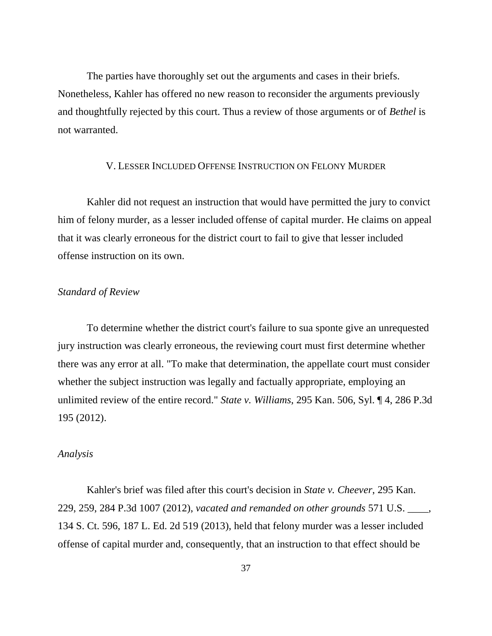The parties have thoroughly set out the arguments and cases in their briefs. Nonetheless, Kahler has offered no new reason to reconsider the arguments previously and thoughtfully rejected by this court. Thus a review of those arguments or of *Bethel* is not warranted.

#### V. LESSER INCLUDED OFFENSE INSTRUCTION ON FELONY MURDER

Kahler did not request an instruction that would have permitted the jury to convict him of felony murder, as a lesser included offense of capital murder. He claims on appeal that it was clearly erroneous for the district court to fail to give that lesser included offense instruction on its own.

## *Standard of Review*

To determine whether the district court's failure to sua sponte give an unrequested jury instruction was clearly erroneous, the reviewing court must first determine whether there was any error at all. "To make that determination, the appellate court must consider whether the subject instruction was legally and factually appropriate, employing an unlimited review of the entire record." *State v. Williams*, 295 Kan. 506, Syl. ¶ 4, 286 P.3d 195 (2012).

#### *Analysis*

Kahler's brief was filed after this court's decision in *State v. Cheever*, 295 Kan. 229, 259, 284 P.3d 1007 (2012), *vacated and remanded on other grounds* 571 U.S. \_\_\_\_, 134 S. Ct. 596, 187 L. Ed. 2d 519 (2013), held that felony murder was a lesser included offense of capital murder and, consequently, that an instruction to that effect should be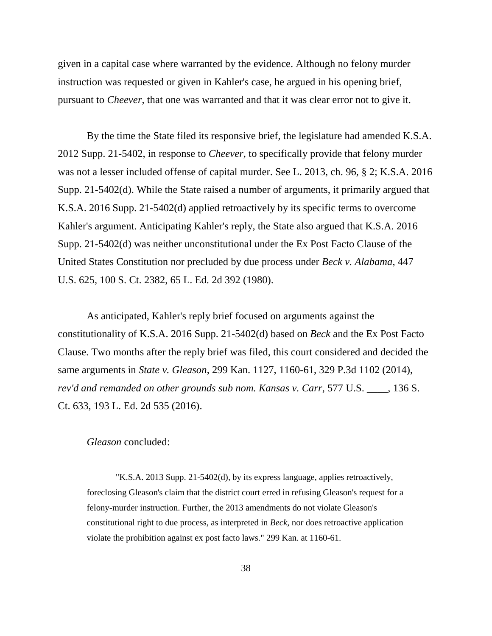given in a capital case where warranted by the evidence. Although no felony murder instruction was requested or given in Kahler's case, he argued in his opening brief, pursuant to *Cheever*, that one was warranted and that it was clear error not to give it.

By the time the State filed its responsive brief, the legislature had amended K.S.A. 2012 Supp. 21-5402, in response to *Cheever*, to specifically provide that felony murder was not a lesser included offense of capital murder. See L. 2013, ch. 96, § 2; K.S.A. 2016 Supp. 21-5402(d). While the State raised a number of arguments, it primarily argued that K.S.A. 2016 Supp. 21-5402(d) applied retroactively by its specific terms to overcome Kahler's argument. Anticipating Kahler's reply, the State also argued that K.S.A. 2016 Supp. 21-5402(d) was neither unconstitutional under the Ex Post Facto Clause of the United States Constitution nor precluded by due process under *Beck v. Alabama*, 447 U.S. 625, 100 S. Ct. 2382, 65 L. Ed. 2d 392 (1980).

As anticipated, Kahler's reply brief focused on arguments against the constitutionality of K.S.A. 2016 Supp. 21-5402(d) based on *Beck* and the Ex Post Facto Clause. Two months after the reply brief was filed, this court considered and decided the same arguments in *State v. Gleason*, 299 Kan. 1127, 1160-61, 329 P.3d 1102 (2014), *rev'd and remanded on other grounds sub nom. Kansas v. Carr*, 577 U.S. \_\_\_\_, 136 S. Ct. 633, 193 L. Ed. 2d 535 (2016).

### *Gleason* concluded:

"K.S.A. 2013 Supp. 21-5402(d), by its express language, applies retroactively, foreclosing Gleason's claim that the district court erred in refusing Gleason's request for a felony-murder instruction. Further, the 2013 amendments do not violate Gleason's constitutional right to due process, as interpreted in *Beck,* nor does retroactive application violate the prohibition against ex post facto laws." 299 Kan. at 1160-61.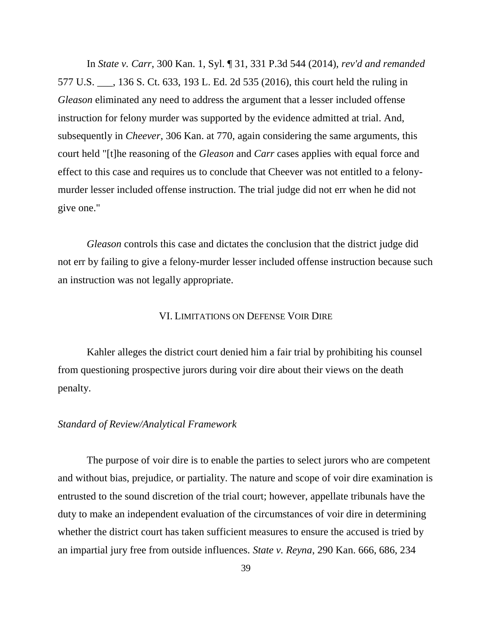In *State v. Carr*, 300 Kan. 1, Syl. ¶ 31, 331 P.3d 544 (2014), *rev'd and remanded* 577 U.S. \_\_\_, 136 S. Ct. 633, 193 L. Ed. 2d 535 (2016), this court held the ruling in *Gleason* eliminated any need to address the argument that a lesser included offense instruction for felony murder was supported by the evidence admitted at trial. And, subsequently in *Cheever*, 306 Kan. at 770, again considering the same arguments, this court held "[t]he reasoning of the *Gleason* and *Carr* cases applies with equal force and effect to this case and requires us to conclude that Cheever was not entitled to a felonymurder lesser included offense instruction. The trial judge did not err when he did not give one."

*Gleason* controls this case and dictates the conclusion that the district judge did not err by failing to give a felony-murder lesser included offense instruction because such an instruction was not legally appropriate.

### VI. LIMITATIONS ON DEFENSE VOIR DIRE

Kahler alleges the district court denied him a fair trial by prohibiting his counsel from questioning prospective jurors during voir dire about their views on the death penalty.

### *Standard of Review/Analytical Framework*

The purpose of voir dire is to enable the parties to select jurors who are competent and without bias, prejudice, or partiality. The nature and scope of voir dire examination is entrusted to the sound discretion of the trial court; however, appellate tribunals have the duty to make an independent evaluation of the circumstances of voir dire in determining whether the district court has taken sufficient measures to ensure the accused is tried by an impartial jury free from outside influences. *State v. Reyna*, 290 Kan. 666, 686, 234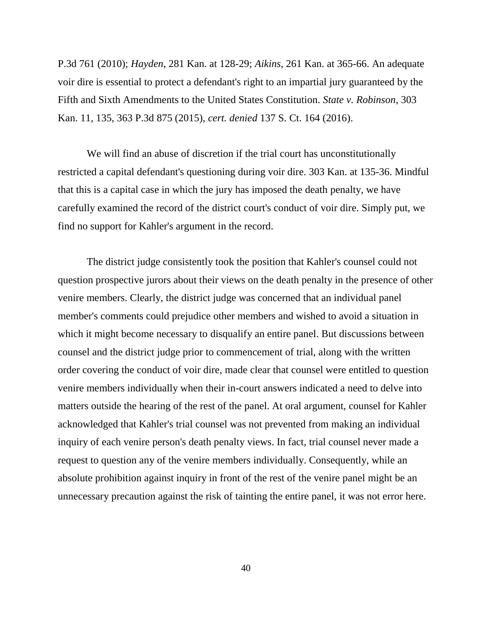P.3d 761 (2010); *Hayden*, 281 Kan. at 128-29; *Aikins*, 261 Kan. at 365-66. An adequate voir dire is essential to protect a defendant's right to an impartial jury guaranteed by the Fifth and Sixth Amendments to the United States Constitution. *State v. Robinson*, 303 Kan. 11, 135, 363 P.3d 875 (2015), *cert. denied* 137 S. Ct. 164 (2016).

We will find an abuse of discretion if the trial court has unconstitutionally restricted a capital defendant's questioning during voir dire. 303 Kan. at 135-36. Mindful that this is a capital case in which the jury has imposed the death penalty, we have carefully examined the record of the district court's conduct of voir dire. Simply put, we find no support for Kahler's argument in the record.

The district judge consistently took the position that Kahler's counsel could not question prospective jurors about their views on the death penalty in the presence of other venire members. Clearly, the district judge was concerned that an individual panel member's comments could prejudice other members and wished to avoid a situation in which it might become necessary to disqualify an entire panel. But discussions between counsel and the district judge prior to commencement of trial, along with the written order covering the conduct of voir dire, made clear that counsel were entitled to question venire members individually when their in-court answers indicated a need to delve into matters outside the hearing of the rest of the panel. At oral argument, counsel for Kahler acknowledged that Kahler's trial counsel was not prevented from making an individual inquiry of each venire person's death penalty views. In fact, trial counsel never made a request to question any of the venire members individually. Consequently, while an absolute prohibition against inquiry in front of the rest of the venire panel might be an unnecessary precaution against the risk of tainting the entire panel, it was not error here.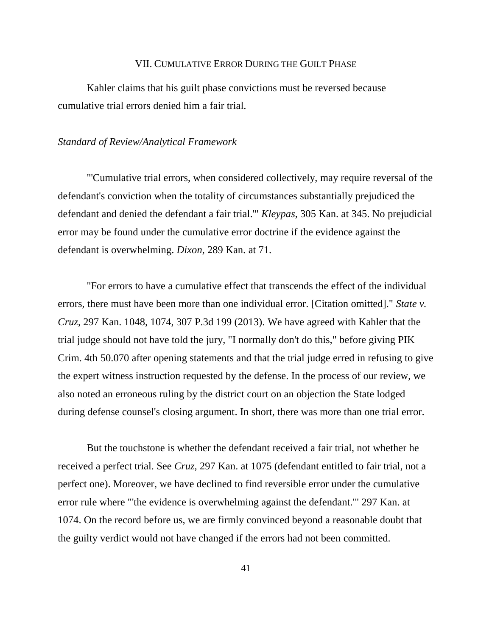#### VII. CUMULATIVE ERROR DURING THE GUILT PHASE

Kahler claims that his guilt phase convictions must be reversed because cumulative trial errors denied him a fair trial.

### *Standard of Review/Analytical Framework*

"'Cumulative trial errors, when considered collectively, may require reversal of the defendant's conviction when the totality of circumstances substantially prejudiced the defendant and denied the defendant a fair trial.'" *Kleypas*, 305 Kan. at 345. No prejudicial error may be found under the cumulative error doctrine if the evidence against the defendant is overwhelming. *Dixon*, 289 Kan. at 71.

"For errors to have a cumulative effect that transcends the effect of the individual errors, there must have been more than one individual error. [Citation omitted]." *State v. Cruz*, 297 Kan. 1048, 1074, 307 P.3d 199 (2013). We have agreed with Kahler that the trial judge should not have told the jury, "I normally don't do this," before giving PIK Crim. 4th 50.070 after opening statements and that the trial judge erred in refusing to give the expert witness instruction requested by the defense. In the process of our review, we also noted an erroneous ruling by the district court on an objection the State lodged during defense counsel's closing argument. In short, there was more than one trial error.

But the touchstone is whether the defendant received a fair trial, not whether he received a perfect trial. See *Cruz*, 297 Kan. at 1075 (defendant entitled to fair trial, not a perfect one). Moreover, we have declined to find reversible error under the cumulative error rule where "'the evidence is overwhelming against the defendant.'" 297 Kan. at 1074. On the record before us, we are firmly convinced beyond a reasonable doubt that the guilty verdict would not have changed if the errors had not been committed.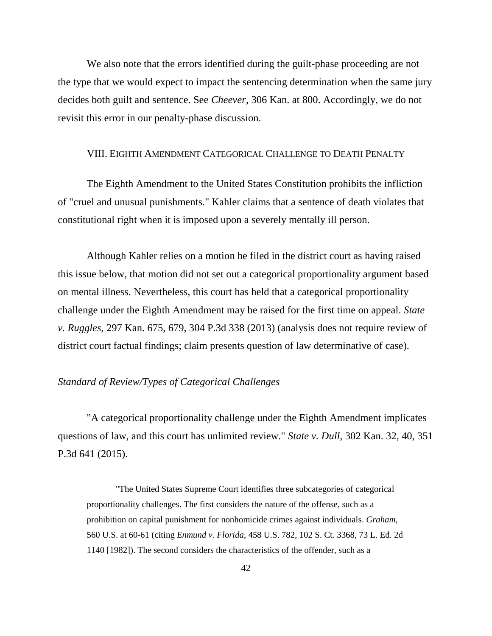We also note that the errors identified during the guilt-phase proceeding are not the type that we would expect to impact the sentencing determination when the same jury decides both guilt and sentence. See *Cheever*, 306 Kan. at 800. Accordingly, we do not revisit this error in our penalty-phase discussion.

#### VIII. EIGHTH AMENDMENT CATEGORICAL CHALLENGE TO DEATH PENALTY

The Eighth Amendment to the United States Constitution prohibits the infliction of "cruel and unusual punishments." Kahler claims that a sentence of death violates that constitutional right when it is imposed upon a severely mentally ill person.

Although Kahler relies on a motion he filed in the district court as having raised this issue below, that motion did not set out a categorical proportionality argument based on mental illness. Nevertheless, this court has held that a categorical proportionality challenge under the Eighth Amendment may be raised for the first time on appeal. *State v. Ruggles*, 297 Kan. 675, 679, 304 P.3d 338 (2013) (analysis does not require review of district court factual findings; claim presents question of law determinative of case).

## *Standard of Review/Types of Categorical Challenges*

"A categorical proportionality challenge under the Eighth Amendment implicates questions of law, and this court has unlimited review." *State v. Dull*, 302 Kan. 32, 40, 351 P.3d 641 (2015).

"The United States Supreme Court identifies three subcategories of categorical proportionality challenges. The first considers the nature of the offense, such as a prohibition on capital punishment for nonhomicide crimes against individuals. *Graham*, 560 U.S. at 60-61 (citing *Enmund v. Florida*, 458 U.S. 782, 102 S. Ct. 3368, 73 L. Ed. 2d 1140 [1982]). The second considers the characteristics of the offender, such as a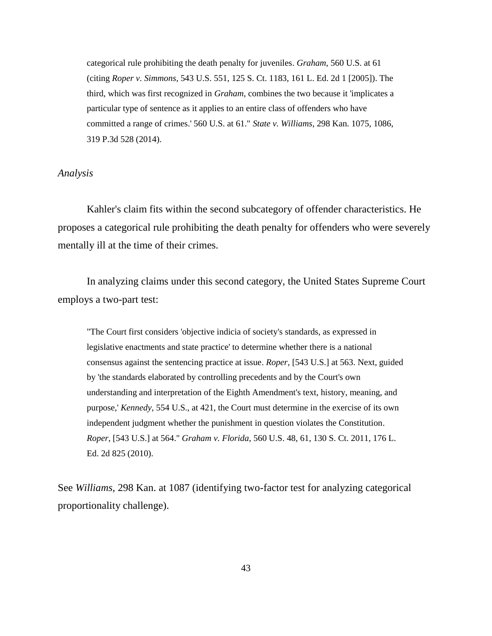categorical rule prohibiting the death penalty for juveniles. *Graham*, 560 U.S. at 61 (citing *Roper v. Simmons*, 543 U.S. 551, 125 S. Ct. 1183, 161 L. Ed. 2d 1 [2005]). The third, which was first recognized in *Graham*, combines the two because it 'implicates a particular type of sentence as it applies to an entire class of offenders who have committed a range of crimes.' 560 U.S. at 61." *State v. Williams*, 298 Kan. 1075, 1086, 319 P.3d 528 (2014).

### *Analysis*

Kahler's claim fits within the second subcategory of offender characteristics. He proposes a categorical rule prohibiting the death penalty for offenders who were severely mentally ill at the time of their crimes.

In analyzing claims under this second category, the United States Supreme Court employs a two-part test:

"The Court first considers 'objective indicia of society's standards, as expressed in legislative enactments and state practice' to determine whether there is a national consensus against the sentencing practice at issue. *Roper*, [543 U.S.] at 563. Next, guided by 'the standards elaborated by controlling precedents and by the Court's own understanding and interpretation of the Eighth Amendment's text, history, meaning, and purpose,' *Kennedy,* 554 U.S., at 421, the Court must determine in the exercise of its own independent judgment whether the punishment in question violates the Constitution. *Roper*, [543 U.S.] at 564." *Graham v. Florida*, 560 U.S. 48, 61, 130 S. Ct. 2011, 176 L. Ed. 2d 825 (2010).

See *Williams*, 298 Kan. at 1087 (identifying two-factor test for analyzing categorical proportionality challenge).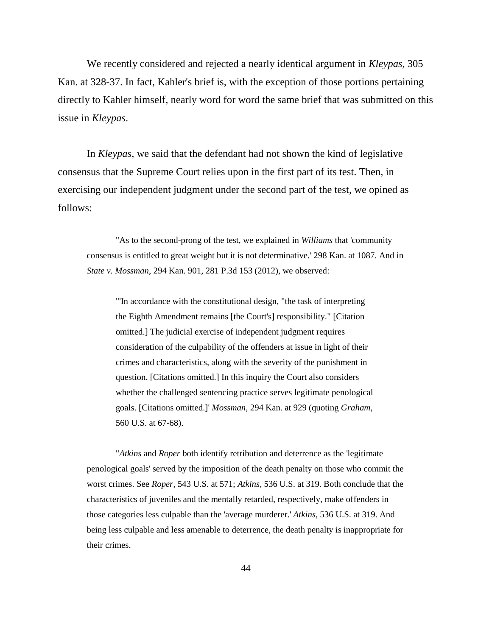We recently considered and rejected a nearly identical argument in *Kleypas*, 305 Kan. at 328-37. In fact, Kahler's brief is, with the exception of those portions pertaining directly to Kahler himself, nearly word for word the same brief that was submitted on this issue in *Kleypas*.

In *Kleypas*, we said that the defendant had not shown the kind of legislative consensus that the Supreme Court relies upon in the first part of its test. Then, in exercising our independent judgment under the second part of the test, we opined as follows:

"As to the second-prong of the test, we explained in *Williams* that 'community consensus is entitled to great weight but it is not determinative.' 298 Kan. at 1087. And in *State v. Mossman*, 294 Kan. 901, 281 P.3d 153 (2012), we observed:

"'In accordance with the constitutional design, "the task of interpreting the Eighth Amendment remains [the Court's] responsibility." [Citation omitted.] The judicial exercise of independent judgment requires consideration of the culpability of the offenders at issue in light of their crimes and characteristics, along with the severity of the punishment in question. [Citations omitted.] In this inquiry the Court also considers whether the challenged sentencing practice serves legitimate penological goals. [Citations omitted.]' *Mossman,* 294 Kan. at 929 (quoting *Graham,* 560 U.S. at 67-68).

"*Atkins* and *Roper* both identify retribution and deterrence as the 'legitimate penological goals' served by the imposition of the death penalty on those who commit the worst crimes. See *Roper*, 543 U.S. at 571; *Atkins*, 536 U.S. at 319. Both conclude that the characteristics of juveniles and the mentally retarded, respectively, make offenders in those categories less culpable than the 'average murderer.' *Atkins*, 536 U.S. at 319. And being less culpable and less amenable to deterrence, the death penalty is inappropriate for their crimes.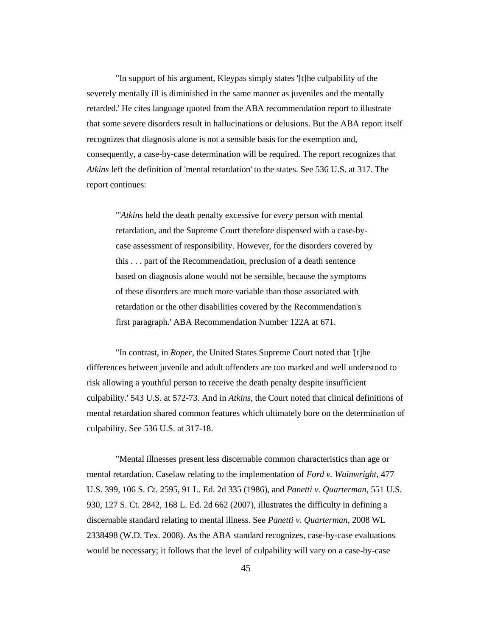"In support of his argument, Kleypas simply states '[t]he culpability of the severely mentally ill is diminished in the same manner as juveniles and the mentally retarded.' He cites language quoted from the ABA recommendation report to illustrate that some severe disorders result in hallucinations or delusions. But the ABA report itself recognizes that diagnosis alone is not a sensible basis for the exemption and, consequently, a case-by-case determination will be required. The report recognizes that *Atkins* left the definition of 'mental retardation' to the states. See 536 U.S. at 317. The report continues:

"'*Atkins* held the death penalty excessive for *every* person with mental retardation, and the Supreme Court therefore dispensed with a case-bycase assessment of responsibility. However, for the disorders covered by this . . . part of the Recommendation, preclusion of a death sentence based on diagnosis alone would not be sensible, because the symptoms of these disorders are much more variable than those associated with retardation or the other disabilities covered by the Recommendation's first paragraph.' ABA Recommendation Number 122A at 671.

"In contrast, in *Roper*, the United States Supreme Court noted that '[t]he differences between juvenile and adult offenders are too marked and well understood to risk allowing a youthful person to receive the death penalty despite insufficient culpability.' 543 U.S. at 572-73. And in *Atkins*, the Court noted that clinical definitions of mental retardation shared common features which ultimately bore on the determination of culpability. See 536 U.S. at 317-18.

"Mental illnesses present less discernable common characteristics than age or mental retardation. Caselaw relating to the implementation of *Ford v. Wainwright*, 477 U.S. 399, 106 S. Ct. 2595, 91 L. Ed. 2d 335 (1986), and *Panetti v. Quarterman,* 551 U.S. 930, 127 S. Ct. 2842, 168 L. Ed. 2d 662 (2007), illustrates the difficulty in defining a discernable standard relating to mental illness. See *Panetti v. Quarterman*, 2008 WL 2338498 (W.D. Tex. 2008). As the ABA standard recognizes, case-by-case evaluations would be necessary; it follows that the level of culpability will vary on a case-by-case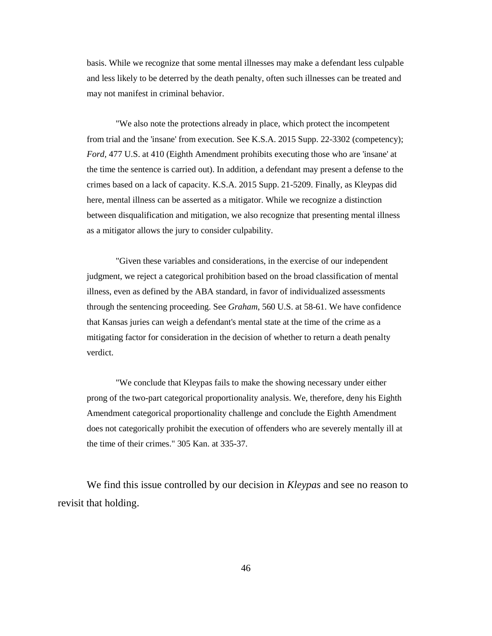basis. While we recognize that some mental illnesses may make a defendant less culpable and less likely to be deterred by the death penalty, often such illnesses can be treated and may not manifest in criminal behavior.

"We also note the protections already in place, which protect the incompetent from trial and the 'insane' from execution. See K.S.A. 2015 Supp. 22-3302 (competency); *Ford,* 477 U.S. at 410 (Eighth Amendment prohibits executing those who are 'insane' at the time the sentence is carried out). In addition, a defendant may present a defense to the crimes based on a lack of capacity. K.S.A. 2015 Supp. 21-5209. Finally, as Kleypas did here, mental illness can be asserted as a mitigator. While we recognize a distinction between disqualification and mitigation, we also recognize that presenting mental illness as a mitigator allows the jury to consider culpability.

"Given these variables and considerations, in the exercise of our independent judgment, we reject a categorical prohibition based on the broad classification of mental illness, even as defined by the ABA standard, in favor of individualized assessments through the sentencing proceeding. See *Graham*, 560 U.S. at 58-61. We have confidence that Kansas juries can weigh a defendant's mental state at the time of the crime as a mitigating factor for consideration in the decision of whether to return a death penalty verdict.

"We conclude that Kleypas fails to make the showing necessary under either prong of the two-part categorical proportionality analysis. We, therefore, deny his Eighth Amendment categorical proportionality challenge and conclude the Eighth Amendment does not categorically prohibit the execution of offenders who are severely mentally ill at the time of their crimes." 305 Kan. at 335-37.

We find this issue controlled by our decision in *Kleypas* and see no reason to revisit that holding.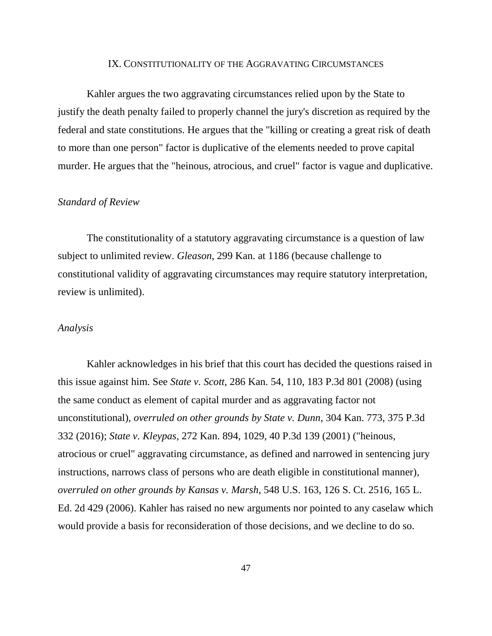#### IX. CONSTITUTIONALITY OF THE AGGRAVATING CIRCUMSTANCES

Kahler argues the two aggravating circumstances relied upon by the State to justify the death penalty failed to properly channel the jury's discretion as required by the federal and state constitutions. He argues that the "killing or creating a great risk of death to more than one person" factor is duplicative of the elements needed to prove capital murder. He argues that the "heinous, atrocious, and cruel" factor is vague and duplicative.

#### *Standard of Review*

The constitutionality of a statutory aggravating circumstance is a question of law subject to unlimited review. *Gleason*, 299 Kan. at 1186 (because challenge to constitutional validity of aggravating circumstances may require statutory interpretation, review is unlimited).

#### *Analysis*

Kahler acknowledges in his brief that this court has decided the questions raised in this issue against him. See *State v. Scott*, 286 Kan. 54, 110, 183 P.3d 801 (2008) (using the same conduct as element of capital murder and as aggravating factor not unconstitutional), *overruled on other grounds by State v. Dunn*, 304 Kan. 773, 375 P.3d 332 (2016); *State v. Kleypas*, 272 Kan. 894, 1029, 40 P.3d 139 (2001) ("heinous, atrocious or cruel" aggravating circumstance, as defined and narrowed in sentencing jury instructions, narrows class of persons who are death eligible in constitutional manner), *overruled on other grounds by Kansas v. Marsh*, 548 U.S. 163, 126 S. Ct. 2516, 165 L. Ed. 2d 429 (2006). Kahler has raised no new arguments nor pointed to any caselaw which would provide a basis for reconsideration of those decisions, and we decline to do so.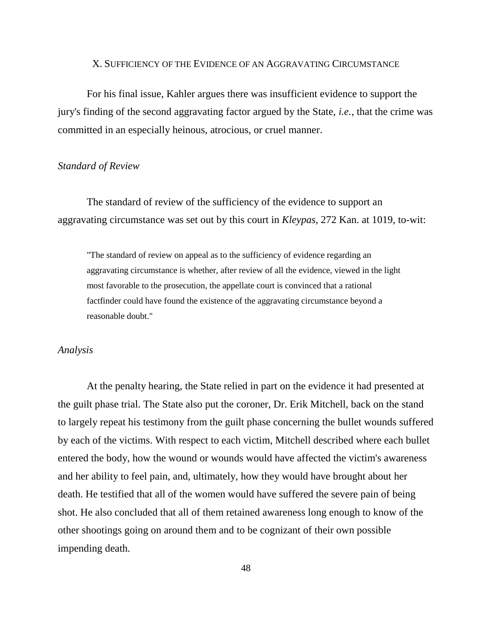#### X. SUFFICIENCY OF THE EVIDENCE OF AN AGGRAVATING CIRCUMSTANCE

For his final issue, Kahler argues there was insufficient evidence to support the jury's finding of the second aggravating factor argued by the State, *i.e.*, that the crime was committed in an especially heinous, atrocious, or cruel manner.

#### *Standard of Review*

The standard of review of the sufficiency of the evidence to support an aggravating circumstance was set out by this court in *Kleypas*, 272 Kan. at 1019, to-wit:

"The standard of review on appeal as to the sufficiency of evidence regarding an aggravating circumstance is whether, after review of all the evidence, viewed in the light most favorable to the prosecution, the appellate court is convinced that a rational factfinder could have found the existence of the aggravating circumstance beyond a reasonable doubt."

#### *Analysis*

At the penalty hearing, the State relied in part on the evidence it had presented at the guilt phase trial. The State also put the coroner, Dr. Erik Mitchell, back on the stand to largely repeat his testimony from the guilt phase concerning the bullet wounds suffered by each of the victims. With respect to each victim, Mitchell described where each bullet entered the body, how the wound or wounds would have affected the victim's awareness and her ability to feel pain, and, ultimately, how they would have brought about her death. He testified that all of the women would have suffered the severe pain of being shot. He also concluded that all of them retained awareness long enough to know of the other shootings going on around them and to be cognizant of their own possible impending death.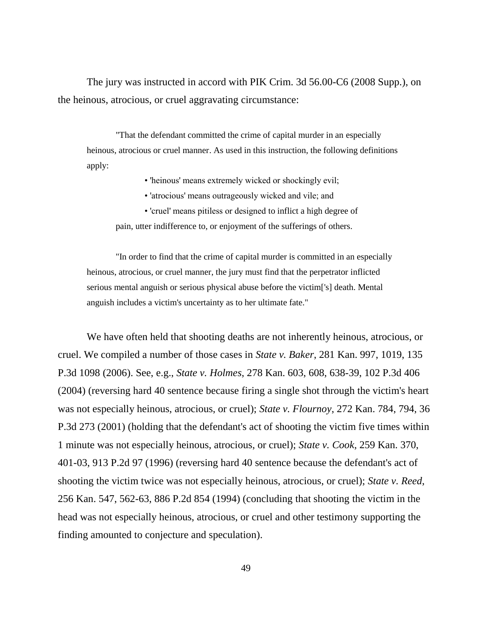The jury was instructed in accord with PIK Crim. 3d 56.00-C6 (2008 Supp.), on the heinous, atrocious, or cruel aggravating circumstance:

"That the defendant committed the crime of capital murder in an especially heinous, atrocious or cruel manner. As used in this instruction, the following definitions apply:

• 'heinous' means extremely wicked or shockingly evil;

- 'atrocious' means outrageously wicked and vile; and
- 'cruel' means pitiless or designed to inflict a high degree of

pain, utter indifference to, or enjoyment of the sufferings of others.

"In order to find that the crime of capital murder is committed in an especially heinous, atrocious, or cruel manner, the jury must find that the perpetrator inflicted serious mental anguish or serious physical abuse before the victim['s] death. Mental anguish includes a victim's uncertainty as to her ultimate fate."

We have often held that shooting deaths are not inherently heinous, atrocious, or cruel. We compiled a number of those cases in *State v. Baker*, 281 Kan. 997, 1019, 135 P.3d 1098 (2006). See, e.g., *State v. Holmes*, 278 Kan. 603, 608, 638-39, 102 P.3d 406 (2004) (reversing hard 40 sentence because firing a single shot through the victim's heart was not especially heinous, atrocious, or cruel); *State v. Flournoy*, 272 Kan. 784, 794, 36 P.3d 273 (2001) (holding that the defendant's act of shooting the victim five times within 1 minute was not especially heinous, atrocious, or cruel); *State v. Cook*, 259 Kan. 370, 401-03, 913 P.2d 97 (1996) (reversing hard 40 sentence because the defendant's act of shooting the victim twice was not especially heinous, atrocious, or cruel); *State v. Reed*, 256 Kan. 547, 562-63, 886 P.2d 854 (1994) (concluding that shooting the victim in the head was not especially heinous, atrocious, or cruel and other testimony supporting the finding amounted to conjecture and speculation).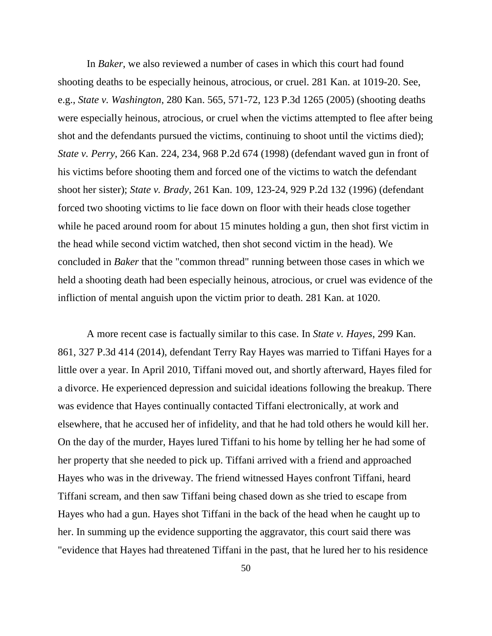In *Baker*, we also reviewed a number of cases in which this court had found shooting deaths to be especially heinous, atrocious, or cruel. 281 Kan. at 1019-20. See, e.g., *State v. Washington*, 280 Kan. 565, 571-72, 123 P.3d 1265 (2005) (shooting deaths were especially heinous, atrocious, or cruel when the victims attempted to flee after being shot and the defendants pursued the victims, continuing to shoot until the victims died); *State v. Perry*, 266 Kan. 224, 234, 968 P.2d 674 (1998) (defendant waved gun in front of his victims before shooting them and forced one of the victims to watch the defendant shoot her sister); *State v. Brady*, 261 Kan. 109, 123-24, 929 P.2d 132 (1996) (defendant forced two shooting victims to lie face down on floor with their heads close together while he paced around room for about 15 minutes holding a gun, then shot first victim in the head while second victim watched, then shot second victim in the head). We concluded in *Baker* that the "common thread" running between those cases in which we held a shooting death had been especially heinous, atrocious, or cruel was evidence of the infliction of mental anguish upon the victim prior to death. 281 Kan. at 1020.

A more recent case is factually similar to this case. In *State v. Hayes*, 299 Kan. 861, 327 P.3d 414 (2014), defendant Terry Ray Hayes was married to Tiffani Hayes for a little over a year. In April 2010, Tiffani moved out, and shortly afterward, Hayes filed for a divorce. He experienced depression and suicidal ideations following the breakup. There was evidence that Hayes continually contacted Tiffani electronically, at work and elsewhere, that he accused her of infidelity, and that he had told others he would kill her. On the day of the murder, Hayes lured Tiffani to his home by telling her he had some of her property that she needed to pick up. Tiffani arrived with a friend and approached Hayes who was in the driveway. The friend witnessed Hayes confront Tiffani, heard Tiffani scream, and then saw Tiffani being chased down as she tried to escape from Hayes who had a gun. Hayes shot Tiffani in the back of the head when he caught up to her. In summing up the evidence supporting the aggravator, this court said there was "evidence that Hayes had threatened Tiffani in the past, that he lured her to his residence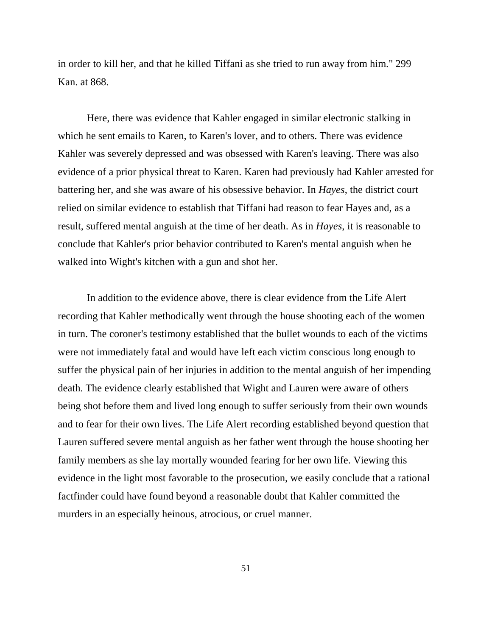in order to kill her, and that he killed Tiffani as she tried to run away from him." 299 Kan. at 868.

Here, there was evidence that Kahler engaged in similar electronic stalking in which he sent emails to Karen, to Karen's lover, and to others. There was evidence Kahler was severely depressed and was obsessed with Karen's leaving. There was also evidence of a prior physical threat to Karen. Karen had previously had Kahler arrested for battering her, and she was aware of his obsessive behavior. In *Hayes*, the district court relied on similar evidence to establish that Tiffani had reason to fear Hayes and, as a result, suffered mental anguish at the time of her death. As in *Hayes*, it is reasonable to conclude that Kahler's prior behavior contributed to Karen's mental anguish when he walked into Wight's kitchen with a gun and shot her.

In addition to the evidence above, there is clear evidence from the Life Alert recording that Kahler methodically went through the house shooting each of the women in turn. The coroner's testimony established that the bullet wounds to each of the victims were not immediately fatal and would have left each victim conscious long enough to suffer the physical pain of her injuries in addition to the mental anguish of her impending death. The evidence clearly established that Wight and Lauren were aware of others being shot before them and lived long enough to suffer seriously from their own wounds and to fear for their own lives. The Life Alert recording established beyond question that Lauren suffered severe mental anguish as her father went through the house shooting her family members as she lay mortally wounded fearing for her own life. Viewing this evidence in the light most favorable to the prosecution, we easily conclude that a rational factfinder could have found beyond a reasonable doubt that Kahler committed the murders in an especially heinous, atrocious, or cruel manner.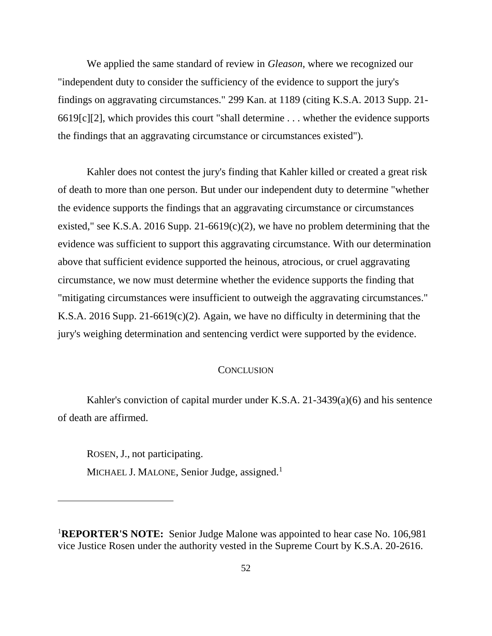We applied the same standard of review in *Gleason*, where we recognized our "independent duty to consider the sufficiency of the evidence to support the jury's findings on aggravating circumstances." 299 Kan. at 1189 (citing K.S.A. 2013 Supp. 21- 6619[c][2], which provides this court "shall determine . . . whether the evidence supports the findings that an aggravating circumstance or circumstances existed").

Kahler does not contest the jury's finding that Kahler killed or created a great risk of death to more than one person. But under our independent duty to determine "whether the evidence supports the findings that an aggravating circumstance or circumstances existed," see K.S.A. 2016 Supp. 21-6619(c)(2), we have no problem determining that the evidence was sufficient to support this aggravating circumstance. With our determination above that sufficient evidence supported the heinous, atrocious, or cruel aggravating circumstance, we now must determine whether the evidence supports the finding that "mitigating circumstances were insufficient to outweigh the aggravating circumstances." K.S.A. 2016 Supp. 21-6619(c)(2). Again, we have no difficulty in determining that the jury's weighing determination and sentencing verdict were supported by the evidence.

### **CONCLUSION**

Kahler's conviction of capital murder under K.S.A. 21-3439(a)(6) and his sentence of death are affirmed.

ROSEN, J., not participating. MICHAEL J. MALONE, Senior Judge, assigned.<sup>1</sup>

 $\overline{a}$ 

<sup>1</sup>**REPORTER'S NOTE:** Senior Judge Malone was appointed to hear case No. 106,981 vice Justice Rosen under the authority vested in the Supreme Court by K.S.A. 20-2616.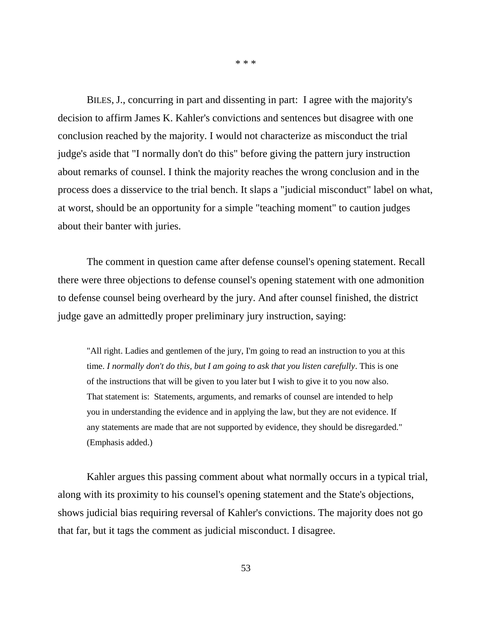BILES, J., concurring in part and dissenting in part: I agree with the majority's decision to affirm James K. Kahler's convictions and sentences but disagree with one conclusion reached by the majority. I would not characterize as misconduct the trial judge's aside that "I normally don't do this" before giving the pattern jury instruction about remarks of counsel. I think the majority reaches the wrong conclusion and in the process does a disservice to the trial bench. It slaps a "judicial misconduct" label on what, at worst, should be an opportunity for a simple "teaching moment" to caution judges about their banter with juries.

\* \* \*

The comment in question came after defense counsel's opening statement. Recall there were three objections to defense counsel's opening statement with one admonition to defense counsel being overheard by the jury. And after counsel finished, the district judge gave an admittedly proper preliminary jury instruction, saying:

"All right. Ladies and gentlemen of the jury, I'm going to read an instruction to you at this time. *I normally don't do this, but I am going to ask that you listen carefully*. This is one of the instructions that will be given to you later but I wish to give it to you now also. That statement is: Statements, arguments, and remarks of counsel are intended to help you in understanding the evidence and in applying the law, but they are not evidence. If any statements are made that are not supported by evidence, they should be disregarded." (Emphasis added.)

Kahler argues this passing comment about what normally occurs in a typical trial, along with its proximity to his counsel's opening statement and the State's objections, shows judicial bias requiring reversal of Kahler's convictions. The majority does not go that far, but it tags the comment as judicial misconduct. I disagree.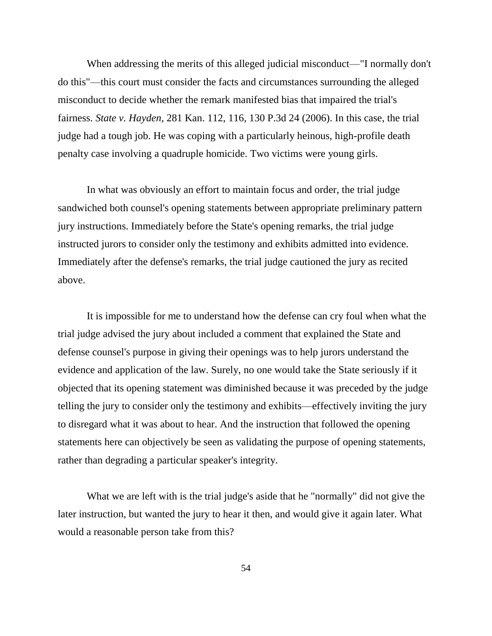When addressing the merits of this alleged judicial misconduct—"I normally don't do this"—this court must consider the facts and circumstances surrounding the alleged misconduct to decide whether the remark manifested bias that impaired the trial's fairness. *State v. Hayden*, 281 Kan. 112, 116, 130 P.3d 24 (2006). In this case, the trial judge had a tough job. He was coping with a particularly heinous, high-profile death penalty case involving a quadruple homicide. Two victims were young girls.

In what was obviously an effort to maintain focus and order, the trial judge sandwiched both counsel's opening statements between appropriate preliminary pattern jury instructions. Immediately before the State's opening remarks, the trial judge instructed jurors to consider only the testimony and exhibits admitted into evidence. Immediately after the defense's remarks, the trial judge cautioned the jury as recited above.

It is impossible for me to understand how the defense can cry foul when what the trial judge advised the jury about included a comment that explained the State and defense counsel's purpose in giving their openings was to help jurors understand the evidence and application of the law. Surely, no one would take the State seriously if it objected that its opening statement was diminished because it was preceded by the judge telling the jury to consider only the testimony and exhibits—effectively inviting the jury to disregard what it was about to hear. And the instruction that followed the opening statements here can objectively be seen as validating the purpose of opening statements, rather than degrading a particular speaker's integrity.

What we are left with is the trial judge's aside that he "normally" did not give the later instruction, but wanted the jury to hear it then, and would give it again later. What would a reasonable person take from this?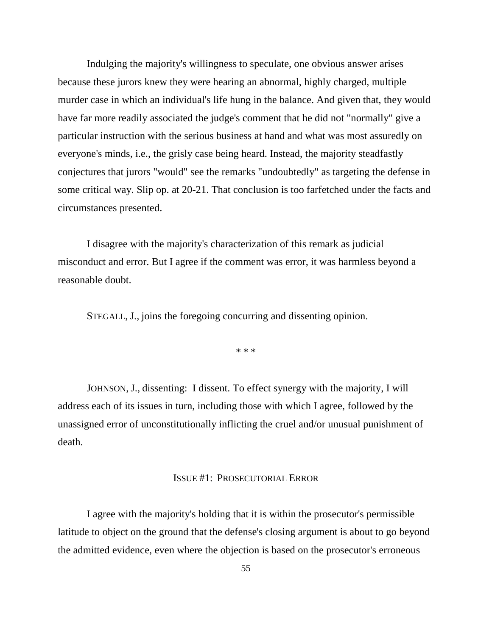Indulging the majority's willingness to speculate, one obvious answer arises because these jurors knew they were hearing an abnormal, highly charged, multiple murder case in which an individual's life hung in the balance. And given that, they would have far more readily associated the judge's comment that he did not "normally" give a particular instruction with the serious business at hand and what was most assuredly on everyone's minds, i.e., the grisly case being heard. Instead, the majority steadfastly conjectures that jurors "would" see the remarks "undoubtedly" as targeting the defense in some critical way. Slip op. at 20-21. That conclusion is too farfetched under the facts and circumstances presented.

I disagree with the majority's characterization of this remark as judicial misconduct and error. But I agree if the comment was error, it was harmless beyond a reasonable doubt.

STEGALL, J., joins the foregoing concurring and dissenting opinion.

\* \* \*

JOHNSON, J., dissenting: I dissent. To effect synergy with the majority, I will address each of its issues in turn, including those with which I agree, followed by the unassigned error of unconstitutionally inflicting the cruel and/or unusual punishment of death.

### ISSUE #1: PROSECUTORIAL ERROR

I agree with the majority's holding that it is within the prosecutor's permissible latitude to object on the ground that the defense's closing argument is about to go beyond the admitted evidence, even where the objection is based on the prosecutor's erroneous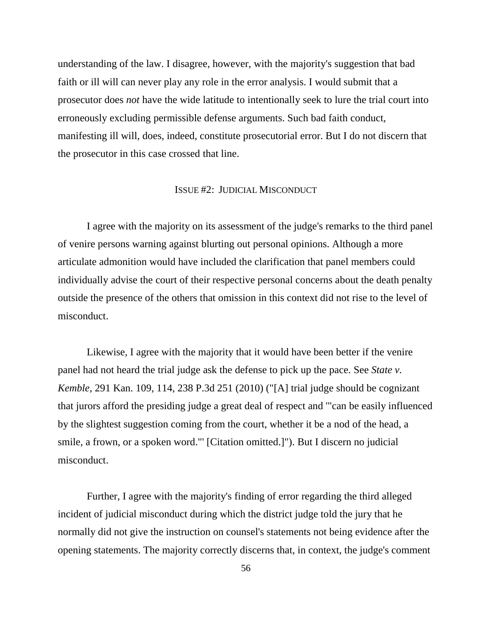understanding of the law. I disagree, however, with the majority's suggestion that bad faith or ill will can never play any role in the error analysis. I would submit that a prosecutor does *not* have the wide latitude to intentionally seek to lure the trial court into erroneously excluding permissible defense arguments. Such bad faith conduct, manifesting ill will, does, indeed, constitute prosecutorial error. But I do not discern that the prosecutor in this case crossed that line.

### ISSUE #2: JUDICIAL MISCONDUCT

I agree with the majority on its assessment of the judge's remarks to the third panel of venire persons warning against blurting out personal opinions. Although a more articulate admonition would have included the clarification that panel members could individually advise the court of their respective personal concerns about the death penalty outside the presence of the others that omission in this context did not rise to the level of misconduct.

Likewise, I agree with the majority that it would have been better if the venire panel had not heard the trial judge ask the defense to pick up the pace. See *State v. Kemble*, 291 Kan. 109, 114, 238 P.3d 251 (2010) ("[A] trial judge should be cognizant that jurors afford the presiding judge a great deal of respect and '"can be easily influenced by the slightest suggestion coming from the court, whether it be a nod of the head, a smile, a frown, or a spoken word."' [Citation omitted.]"). But I discern no judicial misconduct.

Further, I agree with the majority's finding of error regarding the third alleged incident of judicial misconduct during which the district judge told the jury that he normally did not give the instruction on counsel's statements not being evidence after the opening statements. The majority correctly discerns that, in context, the judge's comment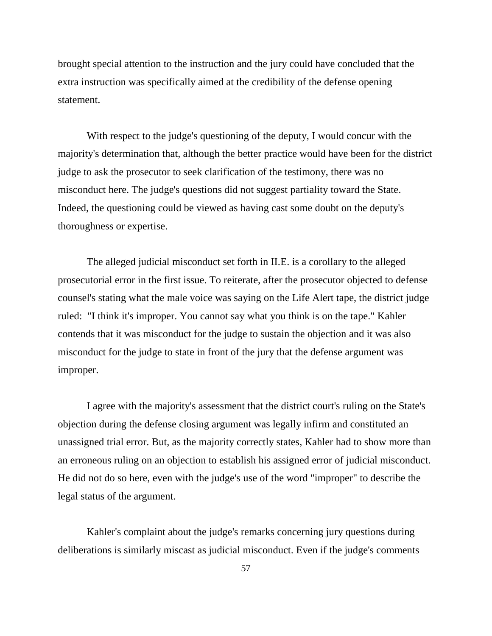brought special attention to the instruction and the jury could have concluded that the extra instruction was specifically aimed at the credibility of the defense opening statement.

With respect to the judge's questioning of the deputy, I would concur with the majority's determination that, although the better practice would have been for the district judge to ask the prosecutor to seek clarification of the testimony, there was no misconduct here. The judge's questions did not suggest partiality toward the State. Indeed, the questioning could be viewed as having cast some doubt on the deputy's thoroughness or expertise.

The alleged judicial misconduct set forth in II.E. is a corollary to the alleged prosecutorial error in the first issue. To reiterate, after the prosecutor objected to defense counsel's stating what the male voice was saying on the Life Alert tape, the district judge ruled: "I think it's improper. You cannot say what you think is on the tape." Kahler contends that it was misconduct for the judge to sustain the objection and it was also misconduct for the judge to state in front of the jury that the defense argument was improper.

I agree with the majority's assessment that the district court's ruling on the State's objection during the defense closing argument was legally infirm and constituted an unassigned trial error. But, as the majority correctly states, Kahler had to show more than an erroneous ruling on an objection to establish his assigned error of judicial misconduct. He did not do so here, even with the judge's use of the word "improper" to describe the legal status of the argument.

Kahler's complaint about the judge's remarks concerning jury questions during deliberations is similarly miscast as judicial misconduct. Even if the judge's comments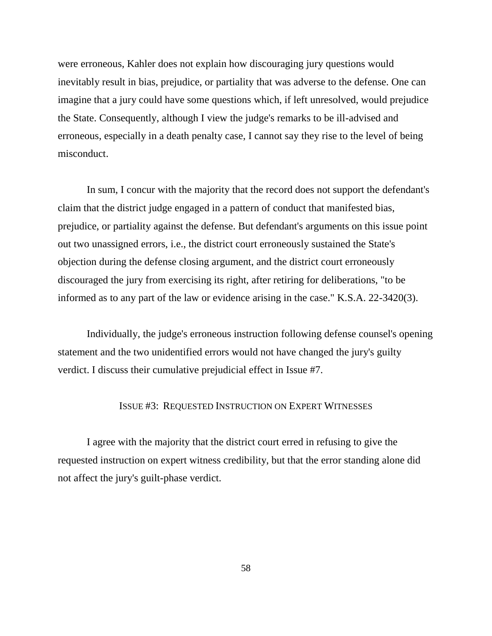were erroneous, Kahler does not explain how discouraging jury questions would inevitably result in bias, prejudice, or partiality that was adverse to the defense. One can imagine that a jury could have some questions which, if left unresolved, would prejudice the State. Consequently, although I view the judge's remarks to be ill-advised and erroneous, especially in a death penalty case, I cannot say they rise to the level of being misconduct.

In sum, I concur with the majority that the record does not support the defendant's claim that the district judge engaged in a pattern of conduct that manifested bias, prejudice, or partiality against the defense. But defendant's arguments on this issue point out two unassigned errors, i.e., the district court erroneously sustained the State's objection during the defense closing argument, and the district court erroneously discouraged the jury from exercising its right, after retiring for deliberations, "to be informed as to any part of the law or evidence arising in the case." K.S.A. 22-3420(3).

Individually, the judge's erroneous instruction following defense counsel's opening statement and the two unidentified errors would not have changed the jury's guilty verdict. I discuss their cumulative prejudicial effect in Issue #7.

### ISSUE #3: REQUESTED INSTRUCTION ON EXPERT WITNESSES

I agree with the majority that the district court erred in refusing to give the requested instruction on expert witness credibility, but that the error standing alone did not affect the jury's guilt-phase verdict.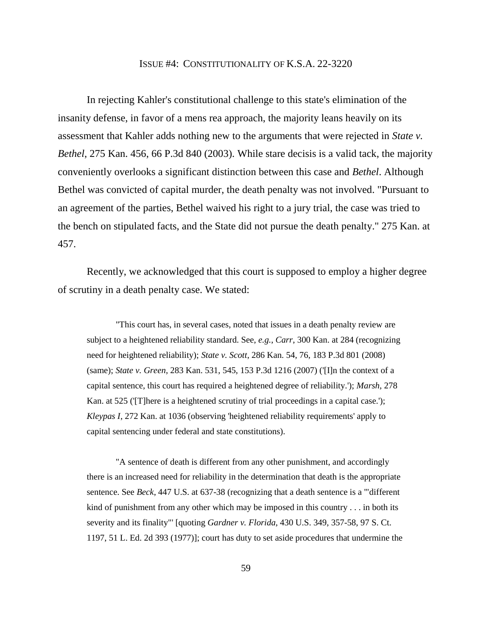#### ISSUE #4: CONSTITUTIONALITY OF K.S.A. 22-3220

In rejecting Kahler's constitutional challenge to this state's elimination of the insanity defense, in favor of a mens rea approach, the majority leans heavily on its assessment that Kahler adds nothing new to the arguments that were rejected in *State v. Bethel*, 275 Kan. 456, 66 P.3d 840 (2003). While stare decisis is a valid tack, the majority conveniently overlooks a significant distinction between this case and *Bethel*. Although Bethel was convicted of capital murder, the death penalty was not involved. "Pursuant to an agreement of the parties, Bethel waived his right to a jury trial, the case was tried to the bench on stipulated facts, and the State did not pursue the death penalty." 275 Kan. at 457.

Recently, we acknowledged that this court is supposed to employ a higher degree of scrutiny in a death penalty case. We stated:

"This court has, in several cases, noted that issues in a death penalty review are subject to a heightened reliability standard. See, *e.g.*, *Carr*, 300 Kan. at 284 (recognizing need for heightened reliability); *State v. Scott*, 286 Kan. 54, 76, 183 P.3d 801 (2008) (same); *State v. Green*, 283 Kan. 531, 545, 153 P.3d 1216 (2007) ('[I]n the context of a capital sentence, this court has required a heightened degree of reliability.'); *Marsh*, 278 Kan. at 525 ('[T]here is a heightened scrutiny of trial proceedings in a capital case.'); *Kleypas I*, 272 Kan. at 1036 (observing 'heightened reliability requirements' apply to capital sentencing under federal and state constitutions).

"A sentence of death is different from any other punishment, and accordingly there is an increased need for reliability in the determination that death is the appropriate sentence. See *Beck*, 447 U.S. at 637-38 (recognizing that a death sentence is a '"different kind of punishment from any other which may be imposed in this country  $\dots$  in both its severity and its finality"' [quoting *Gardner v. Florida*, 430 U.S. 349, 357-58, 97 S. Ct. 1197, 51 L. Ed. 2d 393 (1977)]; court has duty to set aside procedures that undermine the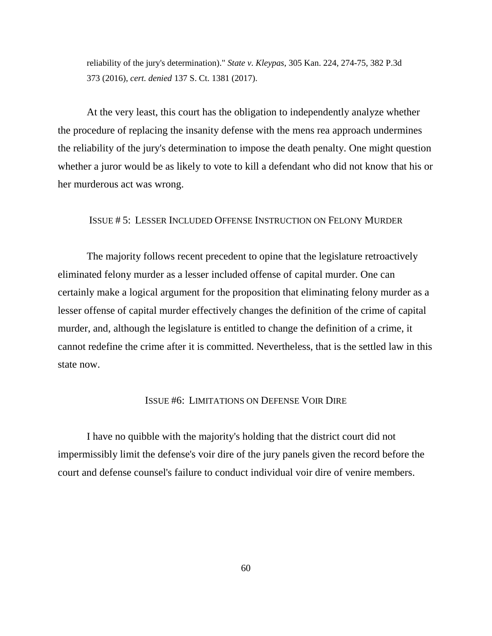reliability of the jury's determination)." *State v. Kleypas*, 305 Kan. 224, 274-75, 382 P.3d 373 (2016), *cert. denied* 137 S. Ct. 1381 (2017).

At the very least, this court has the obligation to independently analyze whether the procedure of replacing the insanity defense with the mens rea approach undermines the reliability of the jury's determination to impose the death penalty. One might question whether a juror would be as likely to vote to kill a defendant who did not know that his or her murderous act was wrong.

## ISSUE # 5: LESSER INCLUDED OFFENSE INSTRUCTION ON FELONY MURDER

The majority follows recent precedent to opine that the legislature retroactively eliminated felony murder as a lesser included offense of capital murder. One can certainly make a logical argument for the proposition that eliminating felony murder as a lesser offense of capital murder effectively changes the definition of the crime of capital murder, and, although the legislature is entitled to change the definition of a crime, it cannot redefine the crime after it is committed. Nevertheless, that is the settled law in this state now.

### ISSUE #6: LIMITATIONS ON DEFENSE VOIR DIRE

I have no quibble with the majority's holding that the district court did not impermissibly limit the defense's voir dire of the jury panels given the record before the court and defense counsel's failure to conduct individual voir dire of venire members.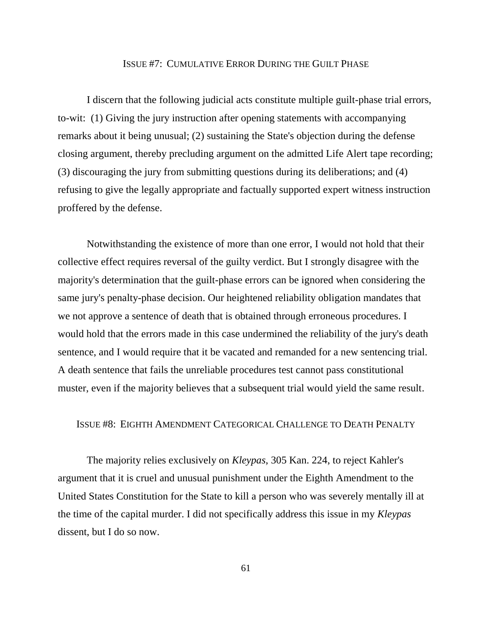### ISSUE #7: CUMULATIVE ERROR DURING THE GUILT PHASE

I discern that the following judicial acts constitute multiple guilt-phase trial errors, to-wit: (1) Giving the jury instruction after opening statements with accompanying remarks about it being unusual; (2) sustaining the State's objection during the defense closing argument, thereby precluding argument on the admitted Life Alert tape recording; (3) discouraging the jury from submitting questions during its deliberations; and (4) refusing to give the legally appropriate and factually supported expert witness instruction proffered by the defense.

Notwithstanding the existence of more than one error, I would not hold that their collective effect requires reversal of the guilty verdict. But I strongly disagree with the majority's determination that the guilt-phase errors can be ignored when considering the same jury's penalty-phase decision. Our heightened reliability obligation mandates that we not approve a sentence of death that is obtained through erroneous procedures. I would hold that the errors made in this case undermined the reliability of the jury's death sentence, and I would require that it be vacated and remanded for a new sentencing trial. A death sentence that fails the unreliable procedures test cannot pass constitutional muster, even if the majority believes that a subsequent trial would yield the same result.

### ISSUE #8: EIGHTH AMENDMENT CATEGORICAL CHALLENGE TO DEATH PENALTY

The majority relies exclusively on *Kleypas*, 305 Kan. 224, to reject Kahler's argument that it is cruel and unusual punishment under the Eighth Amendment to the United States Constitution for the State to kill a person who was severely mentally ill at the time of the capital murder. I did not specifically address this issue in my *Kleypas* dissent, but I do so now.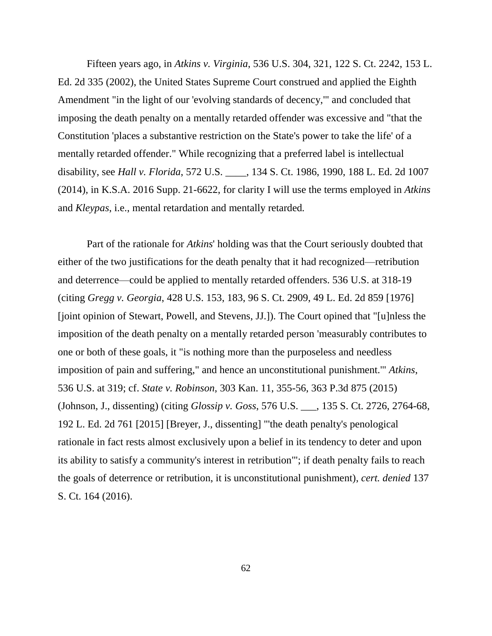Fifteen years ago, in *Atkins v. Virginia*, 536 U.S. 304, 321, 122 S. Ct. 2242, 153 L. Ed. 2d 335 (2002), the United States Supreme Court construed and applied the Eighth Amendment "in the light of our 'evolving standards of decency,'" and concluded that imposing the death penalty on a mentally retarded offender was excessive and "that the Constitution 'places a substantive restriction on the State's power to take the life' of a mentally retarded offender." While recognizing that a preferred label is intellectual disability, see *Hall v. Florida*, 572 U.S. \_\_\_\_, 134 S. Ct. 1986, 1990, 188 L. Ed. 2d 1007 (2014), in K.S.A. 2016 Supp. 21-6622, for clarity I will use the terms employed in *Atkins* and *Kleypas*, i.e., mental retardation and mentally retarded*.*

Part of the rationale for *Atkins*' holding was that the Court seriously doubted that either of the two justifications for the death penalty that it had recognized—retribution and deterrence—could be applied to mentally retarded offenders. 536 U.S. at 318-19 (citing *Gregg v. Georgia*, 428 U.S. 153, 183, 96 S. Ct. 2909, 49 L. Ed. 2d 859 [1976] [joint opinion of Stewart, Powell, and Stevens, JJ.]). The Court opined that "[u]nless the imposition of the death penalty on a mentally retarded person 'measurably contributes to one or both of these goals, it "is nothing more than the purposeless and needless imposition of pain and suffering," and hence an unconstitutional punishment.'" *Atkins*, 536 U.S. at 319; cf. *State v. Robinson*, 303 Kan. 11, 355-56, 363 P.3d 875 (2015) (Johnson, J., dissenting) (citing *Glossip v. Goss*, 576 U.S. \_\_\_, 135 S. Ct. 2726, 2764-68, 192 L. Ed. 2d 761 [2015] [Breyer, J., dissenting] "'the death penalty's penological rationale in fact rests almost exclusively upon a belief in its tendency to deter and upon its ability to satisfy a community's interest in retribution'"; if death penalty fails to reach the goals of deterrence or retribution, it is unconstitutional punishment), *cert. denied* 137 S. Ct. 164 (2016).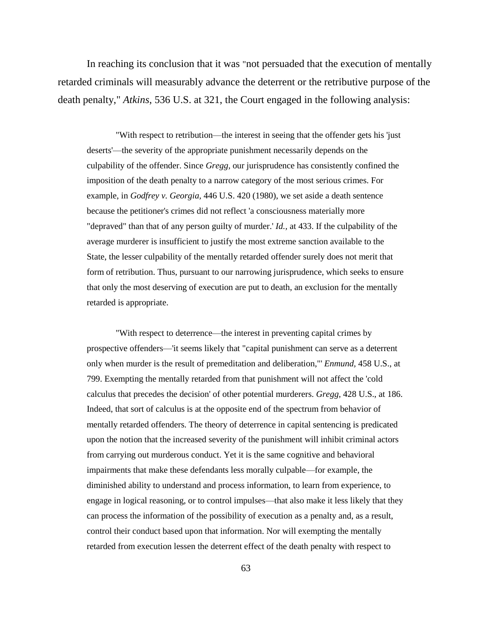In reaching its conclusion that it was "not persuaded that the execution of mentally retarded criminals will measurably advance the deterrent or the retributive purpose of the death penalty," *Atkins*, 536 U.S. at 321, the Court engaged in the following analysis:

"With respect to retribution—the interest in seeing that the offender gets his 'just deserts'—the severity of the appropriate punishment necessarily depends on the culpability of the offender. Since *Gregg,* our jurisprudence has consistently confined the imposition of the death penalty to a narrow category of the most serious crimes. For example, in *Godfrey v. Georgia,* 446 U.S. 420 (1980), we set aside a death sentence because the petitioner's crimes did not reflect 'a consciousness materially more "depraved" than that of any person guilty of murder.' *Id.,* at 433. If the culpability of the average murderer is insufficient to justify the most extreme sanction available to the State, the lesser culpability of the mentally retarded offender surely does not merit that form of retribution. Thus, pursuant to our narrowing jurisprudence, which seeks to ensure that only the most deserving of execution are put to death, an exclusion for the mentally retarded is appropriate.

"With respect to deterrence—the interest in preventing capital crimes by prospective offenders—'it seems likely that "capital punishment can serve as a deterrent only when murder is the result of premeditation and deliberation,"' *Enmund,* 458 U.S., at 799. Exempting the mentally retarded from that punishment will not affect the 'cold calculus that precedes the decision' of other potential murderers. *Gregg,* 428 U.S., at 186. Indeed, that sort of calculus is at the opposite end of the spectrum from behavior of mentally retarded offenders. The theory of deterrence in capital sentencing is predicated upon the notion that the increased severity of the punishment will inhibit criminal actors from carrying out murderous conduct. Yet it is the same cognitive and behavioral impairments that make these defendants less morally culpable—for example, the diminished ability to understand and process information, to learn from experience, to engage in logical reasoning, or to control impulses—that also make it less likely that they can process the information of the possibility of execution as a penalty and, as a result, control their conduct based upon that information. Nor will exempting the mentally retarded from execution lessen the deterrent effect of the death penalty with respect to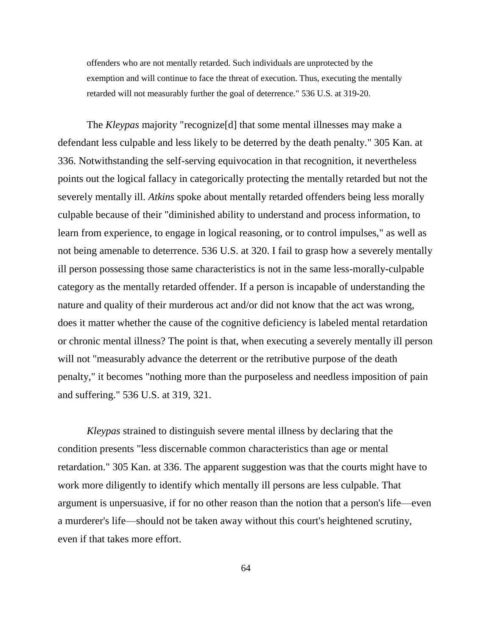offenders who are not mentally retarded. Such individuals are unprotected by the exemption and will continue to face the threat of execution. Thus, executing the mentally retarded will not measurably further the goal of deterrence." 536 U.S. at 319-20.

The *Kleypas* majority "recognize[d] that some mental illnesses may make a defendant less culpable and less likely to be deterred by the death penalty." 305 Kan. at 336. Notwithstanding the self-serving equivocation in that recognition, it nevertheless points out the logical fallacy in categorically protecting the mentally retarded but not the severely mentally ill. *Atkins* spoke about mentally retarded offenders being less morally culpable because of their "diminished ability to understand and process information, to learn from experience, to engage in logical reasoning, or to control impulses," as well as not being amenable to deterrence. 536 U.S. at 320. I fail to grasp how a severely mentally ill person possessing those same characteristics is not in the same less-morally-culpable category as the mentally retarded offender. If a person is incapable of understanding the nature and quality of their murderous act and/or did not know that the act was wrong, does it matter whether the cause of the cognitive deficiency is labeled mental retardation or chronic mental illness? The point is that, when executing a severely mentally ill person will not "measurably advance the deterrent or the retributive purpose of the death penalty," it becomes "nothing more than the purposeless and needless imposition of pain and suffering." 536 U.S. at 319, 321.

*Kleypas* strained to distinguish severe mental illness by declaring that the condition presents "less discernable common characteristics than age or mental retardation." 305 Kan. at 336. The apparent suggestion was that the courts might have to work more diligently to identify which mentally ill persons are less culpable. That argument is unpersuasive, if for no other reason than the notion that a person's life—even a murderer's life—should not be taken away without this court's heightened scrutiny, even if that takes more effort.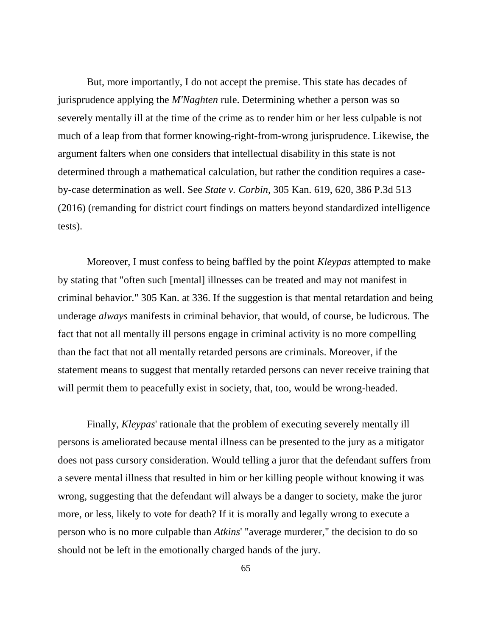But, more importantly, I do not accept the premise. This state has decades of jurisprudence applying the *M'Naghten* rule. Determining whether a person was so severely mentally ill at the time of the crime as to render him or her less culpable is not much of a leap from that former knowing-right-from-wrong jurisprudence. Likewise, the argument falters when one considers that intellectual disability in this state is not determined through a mathematical calculation, but rather the condition requires a caseby-case determination as well. See *State v. Corbin*, 305 Kan. 619, 620, 386 P.3d 513 (2016) (remanding for district court findings on matters beyond standardized intelligence tests).

Moreover, I must confess to being baffled by the point *Kleypas* attempted to make by stating that "often such [mental] illnesses can be treated and may not manifest in criminal behavior." 305 Kan. at 336. If the suggestion is that mental retardation and being underage *always* manifests in criminal behavior, that would, of course, be ludicrous. The fact that not all mentally ill persons engage in criminal activity is no more compelling than the fact that not all mentally retarded persons are criminals. Moreover, if the statement means to suggest that mentally retarded persons can never receive training that will permit them to peacefully exist in society, that, too, would be wrong-headed.

Finally, *Kleypas*' rationale that the problem of executing severely mentally ill persons is ameliorated because mental illness can be presented to the jury as a mitigator does not pass cursory consideration. Would telling a juror that the defendant suffers from a severe mental illness that resulted in him or her killing people without knowing it was wrong, suggesting that the defendant will always be a danger to society, make the juror more, or less, likely to vote for death? If it is morally and legally wrong to execute a person who is no more culpable than *Atkins*' "average murderer," the decision to do so should not be left in the emotionally charged hands of the jury.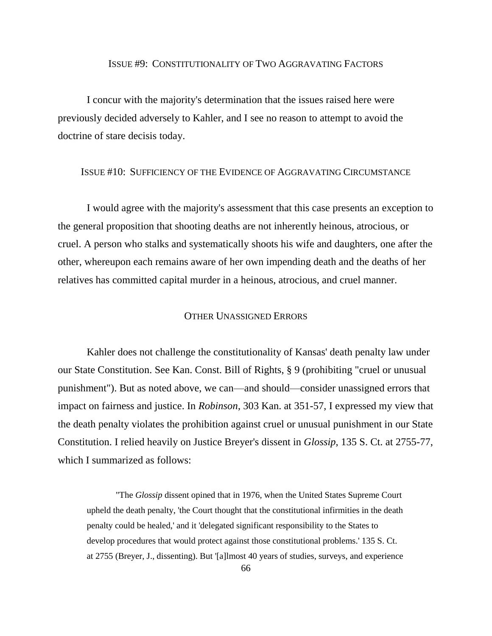#### ISSUE #9: CONSTITUTIONALITY OF TWO AGGRAVATING FACTORS

I concur with the majority's determination that the issues raised here were previously decided adversely to Kahler, and I see no reason to attempt to avoid the doctrine of stare decisis today.

## ISSUE #10: SUFFICIENCY OF THE EVIDENCE OF AGGRAVATING CIRCUMSTANCE

I would agree with the majority's assessment that this case presents an exception to the general proposition that shooting deaths are not inherently heinous, atrocious, or cruel. A person who stalks and systematically shoots his wife and daughters, one after the other, whereupon each remains aware of her own impending death and the deaths of her relatives has committed capital murder in a heinous, atrocious, and cruel manner.

### OTHER UNASSIGNED ERRORS

Kahler does not challenge the constitutionality of Kansas' death penalty law under our State Constitution. See Kan. Const. Bill of Rights, § 9 (prohibiting "cruel or unusual punishment"). But as noted above, we can—and should—consider unassigned errors that impact on fairness and justice. In *Robinson*, 303 Kan. at 351-57, I expressed my view that the death penalty violates the prohibition against cruel or unusual punishment in our State Constitution. I relied heavily on Justice Breyer's dissent in *Glossip*, 135 S. Ct. at 2755-77, which I summarized as follows:

"The *Glossip* dissent opined that in 1976, when the United States Supreme Court upheld the death penalty, 'the Court thought that the constitutional infirmities in the death penalty could be healed,' and it 'delegated significant responsibility to the States to develop procedures that would protect against those constitutional problems.' 135 S. Ct. at 2755 (Breyer, J., dissenting). But '[a]lmost 40 years of studies, surveys, and experience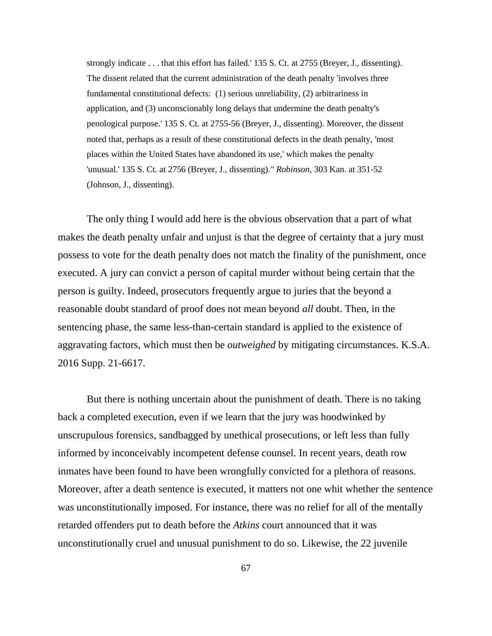strongly indicate . . . that this effort has failed.' 135 S. Ct. at 2755 (Breyer, J., dissenting). The dissent related that the current administration of the death penalty 'involves three fundamental constitutional defects: (1) serious unreliability, (2) arbitrariness in application, and (3) unconscionably long delays that undermine the death penalty's penological purpose.' 135 S. Ct. at 2755-56 (Breyer, J., dissenting). Moreover, the dissent noted that, perhaps as a result of these constitutional defects in the death penalty, 'most places within the United States have abandoned its use,' which makes the penalty 'unusual.' 135 S. Ct. at 2756 (Breyer, J., dissenting)." *Robinson*, 303 Kan. at 351-52 (Johnson, J., dissenting).

The only thing I would add here is the obvious observation that a part of what makes the death penalty unfair and unjust is that the degree of certainty that a jury must possess to vote for the death penalty does not match the finality of the punishment, once executed. A jury can convict a person of capital murder without being certain that the person is guilty. Indeed, prosecutors frequently argue to juries that the beyond a reasonable doubt standard of proof does not mean beyond *all* doubt. Then, in the sentencing phase, the same less-than-certain standard is applied to the existence of aggravating factors, which must then be *outweighed* by mitigating circumstances. K.S.A. 2016 Supp. 21-6617.

But there is nothing uncertain about the punishment of death. There is no taking back a completed execution, even if we learn that the jury was hoodwinked by unscrupulous forensics, sandbagged by unethical prosecutions, or left less than fully informed by inconceivably incompetent defense counsel. In recent years, death row inmates have been found to have been wrongfully convicted for a plethora of reasons. Moreover, after a death sentence is executed, it matters not one whit whether the sentence was unconstitutionally imposed. For instance, there was no relief for all of the mentally retarded offenders put to death before the *Atkins* court announced that it was unconstitutionally cruel and unusual punishment to do so. Likewise, the 22 juvenile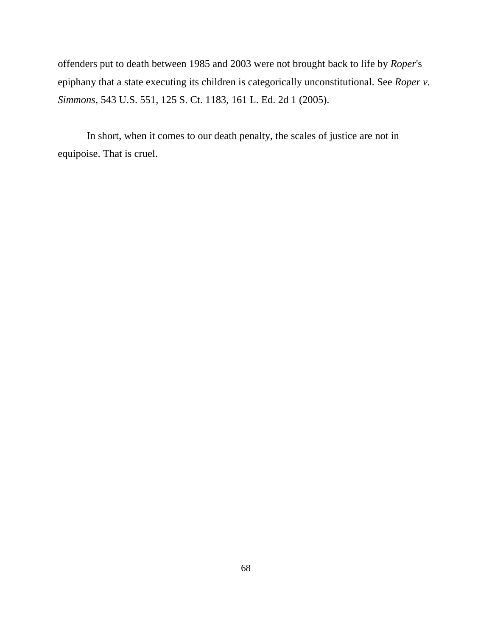offenders put to death between 1985 and 2003 were not brought back to life by *Roper*'s epiphany that a state executing its children is categorically unconstitutional. See *Roper v. Simmons*, 543 U.S. 551, 125 S. Ct. 1183, 161 L. Ed. 2d 1 (2005).

In short, when it comes to our death penalty, the scales of justice are not in equipoise. That is cruel.